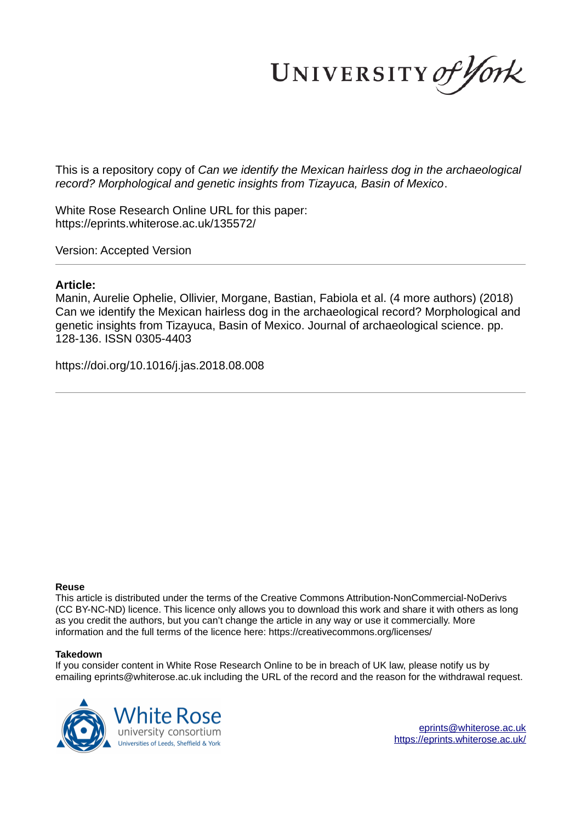UNIVERSITY of York

This is a repository copy of *Can we identify the Mexican hairless dog in the archaeological record? Morphological and genetic insights from Tizayuca, Basin of Mexico*.

White Rose Research Online URL for this paper: https://eprints.whiterose.ac.uk/135572/

Version: Accepted Version

#### **Article:**

Manin, Aurelie Ophelie, Ollivier, Morgane, Bastian, Fabiola et al. (4 more authors) (2018) Can we identify the Mexican hairless dog in the archaeological record? Morphological and genetic insights from Tizayuca, Basin of Mexico. Journal of archaeological science. pp. 128-136. ISSN 0305-4403

https://doi.org/10.1016/j.jas.2018.08.008

#### **Reuse**

This article is distributed under the terms of the Creative Commons Attribution-NonCommercial-NoDerivs (CC BY-NC-ND) licence. This licence only allows you to download this work and share it with others as long as you credit the authors, but you can't change the article in any way or use it commercially. More information and the full terms of the licence here: https://creativecommons.org/licenses/

#### **Takedown**

If you consider content in White Rose Research Online to be in breach of UK law, please notify us by emailing eprints@whiterose.ac.uk including the URL of the record and the reason for the withdrawal request.



eprints@whiterose.ac.uk https://eprints.whiterose.ac.uk/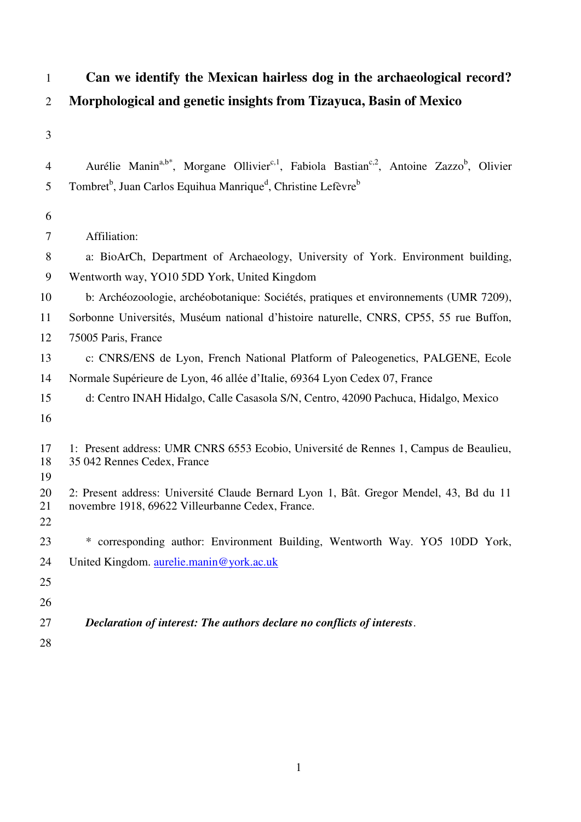# 1 **Can we identify the Mexican hairless dog in the archaeological record?**  2 **Morphological and genetic insights from Tizayuca, Basin of Mexico**

3

| 4              | Aurélie Manin <sup>a,b*</sup> , Morgane Ollivier <sup>c,1</sup> , Fabiola Bastian <sup>c,2</sup> , Antoine Zazzo <sup>b</sup> , Olivier    |
|----------------|--------------------------------------------------------------------------------------------------------------------------------------------|
| 5              | Tombret <sup>b</sup> , Juan Carlos Equihua Manrique <sup>d</sup> , Christine Lefèvre <sup>b</sup>                                          |
| 6              |                                                                                                                                            |
| 7              | Affiliation:                                                                                                                               |
| 8              | a: BioArCh, Department of Archaeology, University of York. Environment building,                                                           |
| 9              | Wentworth way, YO10 5DD York, United Kingdom                                                                                               |
| 10             | b: Archéozoologie, archéobotanique: Sociétés, pratiques et environnements (UMR 7209),                                                      |
| 11             | Sorbonne Universités, Muséum national d'histoire naturelle, CNRS, CP55, 55 rue Buffon,                                                     |
| 12             | 75005 Paris, France                                                                                                                        |
| 13             | c: CNRS/ENS de Lyon, French National Platform of Paleogenetics, PALGENE, Ecole                                                             |
| 14             | Normale Supérieure de Lyon, 46 allée d'Italie, 69364 Lyon Cedex 07, France                                                                 |
| 15             | d: Centro INAH Hidalgo, Calle Casasola S/N, Centro, 42090 Pachuca, Hidalgo, Mexico                                                         |
| 16             |                                                                                                                                            |
| 17<br>18<br>19 | 1: Present address: UMR CNRS 6553 Ecobio, Université de Rennes 1, Campus de Beaulieu,<br>35 042 Rennes Cedex, France                       |
| 20<br>21<br>22 | 2: Present address: Université Claude Bernard Lyon 1, Bât. Gregor Mendel, 43, Bd du 11<br>novembre 1918, 69622 Villeurbanne Cedex, France. |
| 23             | * corresponding author: Environment Building, Wentworth Way. YO5 10DD York,                                                                |
| 24             | United Kingdom. aurelie.manin@york.ac.uk                                                                                                   |
| 25             |                                                                                                                                            |
| 26             |                                                                                                                                            |
| 27             | Declaration of interest: The authors declare no conflicts of interests.                                                                    |

28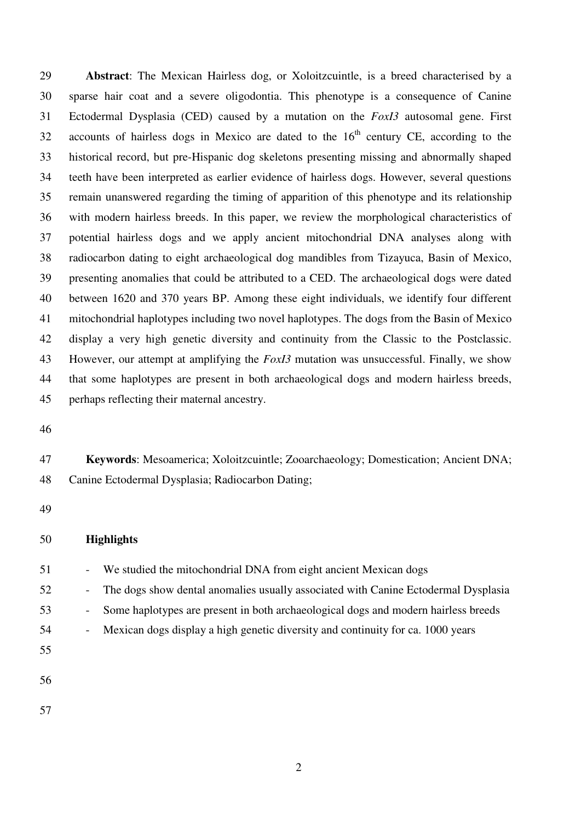29 **Abstract**: The Mexican Hairless dog, or Xoloitzcuintle, is a breed characterised by a 30 sparse hair coat and a severe oligodontia. This phenotype is a consequence of Canine 31 Ectodermal Dysplasia (CED) caused by a mutation on the *FoxI3* autosomal gene. First 32 accounts of hairless dogs in Mexico are dated to the  $16<sup>th</sup>$  century CE, according to the 33 historical record, but pre-Hispanic dog skeletons presenting missing and abnormally shaped 34 teeth have been interpreted as earlier evidence of hairless dogs. However, several questions 35 remain unanswered regarding the timing of apparition of this phenotype and its relationship 36 with modern hairless breeds. In this paper, we review the morphological characteristics of 37 potential hairless dogs and we apply ancient mitochondrial DNA analyses along with 38 radiocarbon dating to eight archaeological dog mandibles from Tizayuca, Basin of Mexico, 39 presenting anomalies that could be attributed to a CED. The archaeological dogs were dated 40 between 1620 and 370 years BP. Among these eight individuals, we identify four different 41 mitochondrial haplotypes including two novel haplotypes. The dogs from the Basin of Mexico 42 display a very high genetic diversity and continuity from the Classic to the Postclassic. 43 However, our attempt at amplifying the *FoxI3* mutation was unsuccessful. Finally, we show 44 that some haplotypes are present in both archaeological dogs and modern hairless breeds, 45 perhaps reflecting their maternal ancestry.

46

# 47 **Keywords**: Mesoamerica; Xoloitzcuintle; Zooarchaeology; Domestication; Ancient DNA; 48 Canine Ectodermal Dysplasia; Radiocarbon Dating;

49

#### 50 **Highlights**

- 51 We studied the mitochondrial DNA from eight ancient Mexican dogs
- 52 The dogs show dental anomalies usually associated with Canine Ectodermal Dysplasia
- 53 Some haplotypes are present in both archaeological dogs and modern hairless breeds
- 54 Mexican dogs display a high genetic diversity and continuity for ca. 1000 years
- 56

55

- 
- 57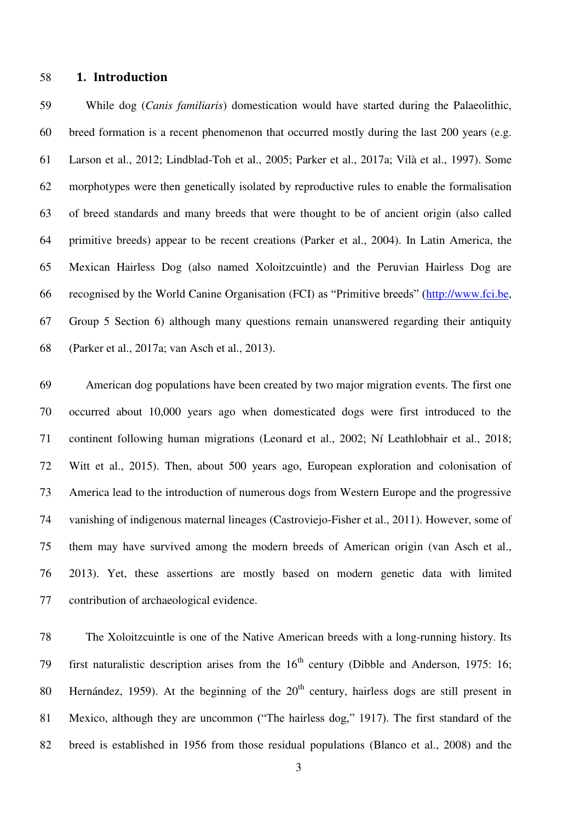#### 58 **1. Introduction**

59 While dog (*Canis familiaris*) domestication would have started during the Palaeolithic, 60 breed formation is a recent phenomenon that occurred mostly during the last 200 years (e.g. 61 Larson et al., 2012; Lindblad-Toh et al., 2005; Parker et al., 2017a; Vilà et al., 1997). Some 62 morphotypes were then genetically isolated by reproductive rules to enable the formalisation 63 of breed standards and many breeds that were thought to be of ancient origin (also called 64 primitive breeds) appear to be recent creations (Parker et al., 2004). In Latin America, the 65 Mexican Hairless Dog (also named Xoloitzcuintle) and the Peruvian Hairless Dog are 66 recognised by the World Canine Organisation (FCI) as "Primitive breeds" ([http://www.fci.be,](http://www.fci.be/) 67 Group 5 Section 6) although many questions remain unanswered regarding their antiquity 68 (Parker et al., 2017a; van Asch et al., 2013).

69 American dog populations have been created by two major migration events. The first one 70 occurred about 10,000 years ago when domesticated dogs were first introduced to the 71 continent following human migrations (Leonard et al., 2002; Ní Leathlobhair et al., 2018; 72 Witt et al., 2015). Then, about 500 years ago, European exploration and colonisation of 73 America lead to the introduction of numerous dogs from Western Europe and the progressive 74 vanishing of indigenous maternal lineages (Castroviejo-Fisher et al., 2011). However, some of 75 them may have survived among the modern breeds of American origin (van Asch et al., 76 2013). Yet, these assertions are mostly based on modern genetic data with limited 77 contribution of archaeological evidence.

78 The Xoloitzcuintle is one of the Native American breeds with a long-running history. Its 79 first naturalistic description arises from the  $16<sup>th</sup>$  century (Dibble and Anderson, 1975: 16; 80 Hernández, 1959). At the beginning of the  $20<sup>th</sup>$  century, hairless dogs are still present in 81 Mexico, although they are uncommon ("The hairless dog," 1917). The first standard of the 82 breed is established in 1956 from those residual populations (Blanco et al., 2008) and the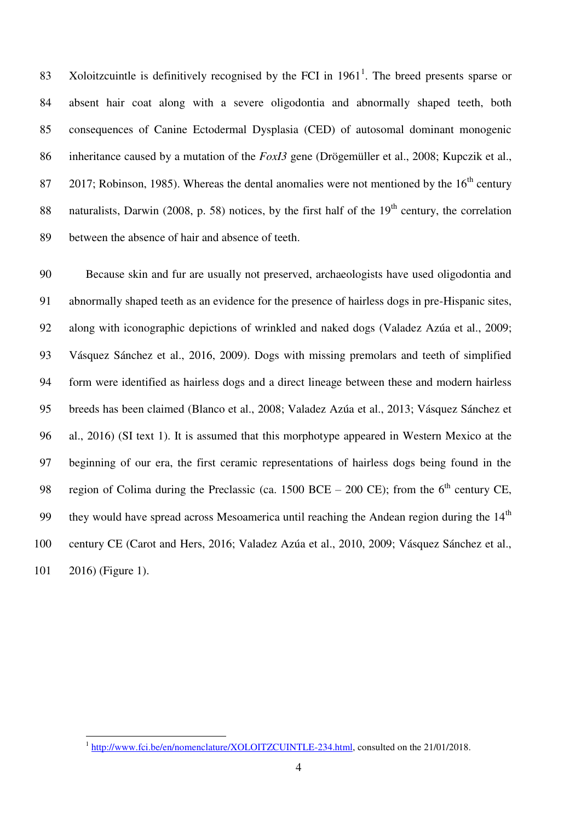83 Xoloitzcuintle is definitively recognised by the FCI in  $1961<sup>1</sup>$ . The breed presents sparse or 84 absent hair coat along with a severe oligodontia and abnormally shaped teeth, both 85 consequences of Canine Ectodermal Dysplasia (CED) of autosomal dominant monogenic 86 inheritance caused by a mutation of the *FoxI3* gene (Drögemüller et al., 2008; Kupczik et al., 87 2017; Robinson, 1985). Whereas the dental anomalies were not mentioned by the  $16<sup>th</sup>$  century 88 naturalists, Darwin (2008, p. 58) notices, by the first half of the  $19<sup>th</sup>$  century, the correlation 89 between the absence of hair and absence of teeth.

90 Because skin and fur are usually not preserved, archaeologists have used oligodontia and 91 abnormally shaped teeth as an evidence for the presence of hairless dogs in pre-Hispanic sites, 92 along with iconographic depictions of wrinkled and naked dogs (Valadez Azúa et al., 2009; 93 Vásquez Sánchez et al., 2016, 2009). Dogs with missing premolars and teeth of simplified 94 form were identified as hairless dogs and a direct lineage between these and modern hairless 95 breeds has been claimed (Blanco et al., 2008; Valadez Azúa et al., 2013; Vásquez Sánchez et 96 al., 2016) (SI text 1). It is assumed that this morphotype appeared in Western Mexico at the 97 beginning of our era, the first ceramic representations of hairless dogs being found in the 98 region of Colima during the Preclassic (ca. 1500 BCE – 200 CE); from the  $6<sup>th</sup>$  century CE, 99 they would have spread across Mesoamerica until reaching the Andean region during the  $14<sup>th</sup>$ 100 century CE (Carot and Hers, 2016; Valadez Azúa et al., 2010, 2009; Vásquez Sánchez et al., 101 2016) (Figure 1).

<sup>&</sup>lt;sup>1</sup> [http://www.fci.be/en/nomenclature/XOLOITZCUINTLE-234.html,](http://www.fci.be/en/nomenclature/XOLOITZCUINTLE-234.html) consulted on the 21/01/2018.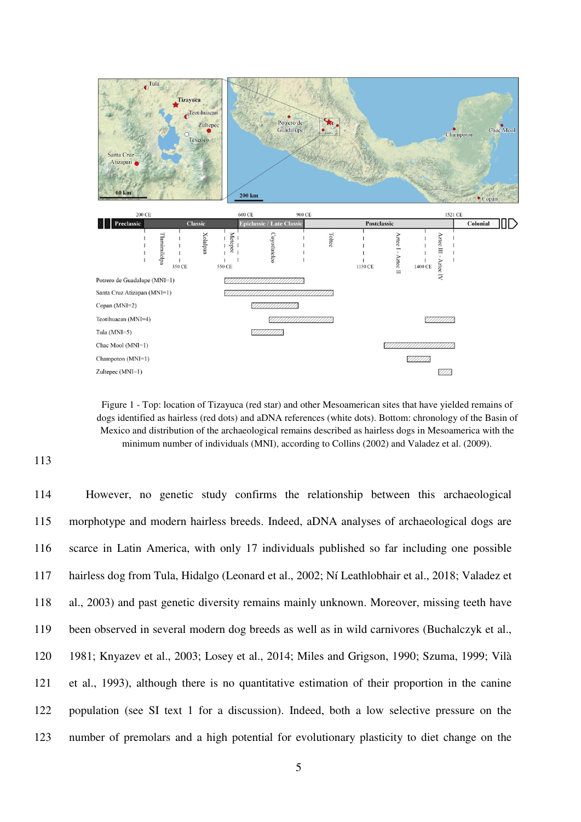

Figure 1 - Top: location of Tizayuca (red star) and other Mesoamerican sites that have yielded remains of dogs identified as hairless (red dots) and aDNA references (white dots). Bottom: chronology of the Basin of Mexico and distribution of the archaeological remains described as hairless dogs in Mesoamerica with the minimum number of individuals (MNI), according to Collins (2002) and Valadez et al. (2009).

113

114 However, no genetic study confirms the relationship between this archaeological 115 morphotype and modern hairless breeds. Indeed, aDNA analyses of archaeological dogs are 116 scarce in Latin America, with only 17 individuals published so far including one possible 117 hairless dog from Tula, Hidalgo (Leonard et al., 2002; Ní Leathlobhair et al., 2018; Valadez et 118 al., 2003) and past genetic diversity remains mainly unknown. Moreover, missing teeth have 119 been observed in several modern dog breeds as well as in wild carnivores (Buchalczyk et al., 120 1981; Knyazev et al., 2003; Losey et al., 2014; Miles and Grigson, 1990; Szuma, 1999; Vilà 121 et al., 1993), although there is no quantitative estimation of their proportion in the canine 122 population (see SI text 1 for a discussion). Indeed, both a low selective pressure on the 123 number of premolars and a high potential for evolutionary plasticity to diet change on the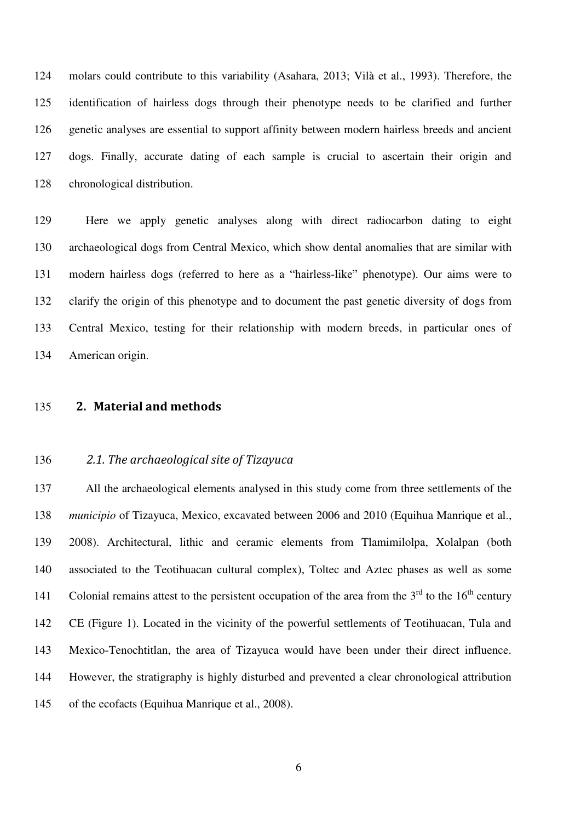124 molars could contribute to this variability (Asahara, 2013; Vilà et al., 1993). Therefore, the 125 identification of hairless dogs through their phenotype needs to be clarified and further 126 genetic analyses are essential to support affinity between modern hairless breeds and ancient 127 dogs. Finally, accurate dating of each sample is crucial to ascertain their origin and 128 chronological distribution.

129 Here we apply genetic analyses along with direct radiocarbon dating to eight 130 archaeological dogs from Central Mexico, which show dental anomalies that are similar with 131 modern hairless dogs (referred to here as a "hairless-like" phenotype). Our aims were to 132 clarify the origin of this phenotype and to document the past genetic diversity of dogs from 133 Central Mexico, testing for their relationship with modern breeds, in particular ones of 134 American origin.

#### 135 **2. Material and methods**

#### 136 *2.1. The archaeological site of Tizayuca*

137 All the archaeological elements analysed in this study come from three settlements of the 138 *municipio* of Tizayuca, Mexico, excavated between 2006 and 2010 (Equihua Manrique et al., 139 2008). Architectural, lithic and ceramic elements from Tlamimilolpa, Xolalpan (both 140 associated to the Teotihuacan cultural complex), Toltec and Aztec phases as well as some 141 Colonial remains attest to the persistent occupation of the area from the  $3<sup>rd</sup>$  to the 16<sup>th</sup> century 142 CE (Figure 1). Located in the vicinity of the powerful settlements of Teotihuacan, Tula and 143 Mexico-Tenochtitlan, the area of Tizayuca would have been under their direct influence. 144 However, the stratigraphy is highly disturbed and prevented a clear chronological attribution 145 of the ecofacts (Equihua Manrique et al., 2008).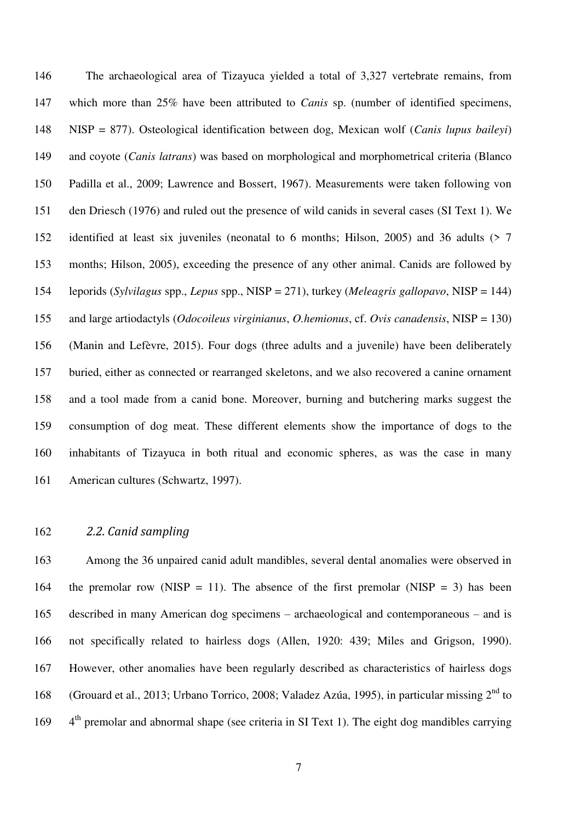146 The archaeological area of Tizayuca yielded a total of 3,327 vertebrate remains, from 147 which more than 25% have been attributed to *Canis* sp. (number of identified specimens, 148 NISP = 877). Osteological identification between dog, Mexican wolf (*Canis lupus baileyi*) 149 and coyote (*Canis latrans*) was based on morphological and morphometrical criteria (Blanco 150 Padilla et al., 2009; Lawrence and Bossert, 1967). Measurements were taken following von 151 den Driesch (1976) and ruled out the presence of wild canids in several cases (SI Text 1). We 152 identified at least six juveniles (neonatal to 6 months; Hilson, 2005) and 36 adults (> 7 153 months; Hilson, 2005), exceeding the presence of any other animal. Canids are followed by 154 leporids (*Sylvilagus* spp., *Lepus* spp., NISP = 271), turkey (*Meleagris gallopavo*, NISP = 144) 155 and large artiodactyls (*Odocoileus virginianus*, *O.hemionus*, cf. *Ovis canadensis*, NISP = 130) 156 (Manin and Lefèvre, 2015). Four dogs (three adults and a juvenile) have been deliberately 157 buried, either as connected or rearranged skeletons, and we also recovered a canine ornament 158 and a tool made from a canid bone. Moreover, burning and butchering marks suggest the 159 consumption of dog meat. These different elements show the importance of dogs to the 160 inhabitants of Tizayuca in both ritual and economic spheres, as was the case in many 161 American cultures (Schwartz, 1997).

#### 162 *2.2. Canid sampling*

163 Among the 36 unpaired canid adult mandibles, several dental anomalies were observed in 164 the premolar row (NISP = 11). The absence of the first premolar (NISP = 3) has been 165 described in many American dog specimens – archaeological and contemporaneous – and is 166 not specifically related to hairless dogs (Allen, 1920: 439; Miles and Grigson, 1990). 167 However, other anomalies have been regularly described as characteristics of hairless dogs 168 (Grouard et al., 2013; Urbano Torrico, 2008; Valadez Azúa, 1995), in particular missing  $2^{nd}$  to 169 4<sup>th</sup> premolar and abnormal shape (see criteria in SI Text 1). The eight dog mandibles carrying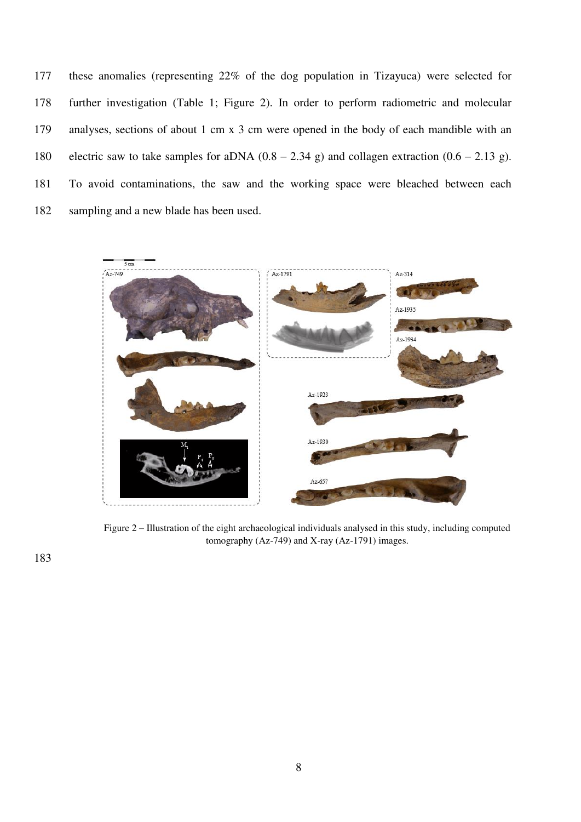177 these anomalies (representing 22% of the dog population in Tizayuca) were selected for 178 further investigation (Table 1; Figure 2). In order to perform radiometric and molecular 179 analyses, sections of about 1 cm x 3 cm were opened in the body of each mandible with an 180 electric saw to take samples for aDNA  $(0.8 - 2.34 \text{ g})$  and collagen extraction  $(0.6 - 2.13 \text{ g})$ . 181 To avoid contaminations, the saw and the working space were bleached between each 182 sampling and a new blade has been used.



Figure 2 – Illustration of the eight archaeological individuals analysed in this study, including computed tomography (Az-749) and X-ray (Az-1791) images.

183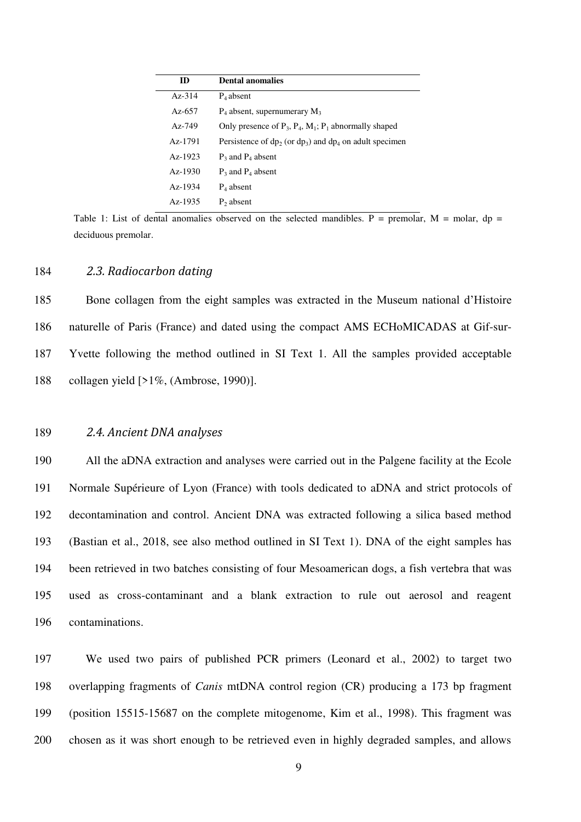| ID            | <b>Dental anomalies</b>                                          |
|---------------|------------------------------------------------------------------|
| $Az-314$      | $P_4$ absent                                                     |
| Az-657        | $P_4$ absent, supernumerary $M_3$                                |
| $A_{Z} - 749$ | Only presence of $P_3$ , $P_4$ , $M_1$ ; $P_1$ abnormally shaped |
| Az-1791       | Persistence of $dp_2$ (or $dp_3$ ) and $dp_4$ on adult specimen  |
| $Az-1923$     | $P_3$ and $P_4$ absent                                           |
| $Az-1930$     | $P_3$ and $P_4$ absent                                           |
| $Az-1934$     | $P_4$ absent                                                     |
| $Az-1935$     | $P_2$ absent                                                     |

Table 1: List of dental anomalies observed on the selected mandibles. P = premolar,  $M =$  molar, dp = deciduous premolar.

#### 184 *2.3. Radiocarbon dating*

185 Bone collagen from the eight samples was extracted in the Museum national d'Histoire 186 naturelle of Paris (France) and dated using the compact AMS ECHoMICADAS at Gif-sur-187 Yvette following the method outlined in SI Text 1. All the samples provided acceptable 188 collagen yield [>1%, (Ambrose, 1990)].

#### 189 *2.4. Ancient DNA analyses*

190 All the aDNA extraction and analyses were carried out in the Palgene facility at the Ecole 191 Normale Supérieure of Lyon (France) with tools dedicated to aDNA and strict protocols of 192 decontamination and control. Ancient DNA was extracted following a silica based method 193 (Bastian et al., 2018, see also method outlined in SI Text 1). DNA of the eight samples has 194 been retrieved in two batches consisting of four Mesoamerican dogs, a fish vertebra that was 195 used as cross-contaminant and a blank extraction to rule out aerosol and reagent 196 contaminations.

197 We used two pairs of published PCR primers (Leonard et al., 2002) to target two 198 overlapping fragments of *Canis* mtDNA control region (CR) producing a 173 bp fragment 199 (position 15515-15687 on the complete mitogenome, Kim et al., 1998). This fragment was 200 chosen as it was short enough to be retrieved even in highly degraded samples, and allows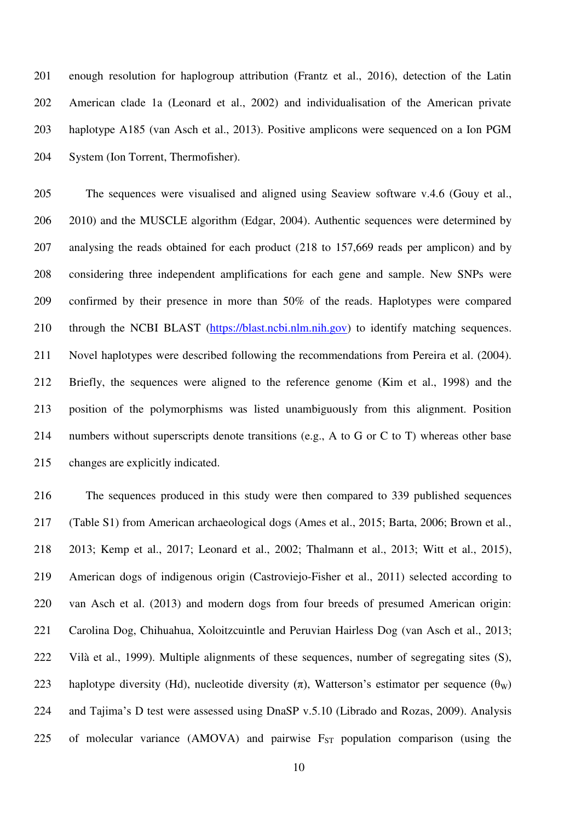201 enough resolution for haplogroup attribution (Frantz et al., 2016), detection of the Latin 202 American clade 1a (Leonard et al., 2002) and individualisation of the American private 203 haplotype A185 (van Asch et al., 2013). Positive amplicons were sequenced on a Ion PGM 204 System (Ion Torrent, Thermofisher).

205 The sequences were visualised and aligned using Seaview software v.4.6 (Gouy et al., 206 2010) and the MUSCLE algorithm (Edgar, 2004). Authentic sequences were determined by 207 analysing the reads obtained for each product (218 to 157,669 reads per amplicon) and by 208 considering three independent amplifications for each gene and sample. New SNPs were 209 confirmed by their presence in more than 50% of the reads. Haplotypes were compared 210 through the NCBI BLAST [\(https://blast.ncbi.nlm.nih.gov\)](https://blast.ncbi.nlm.nih.gov/) to identify matching sequences. 211 Novel haplotypes were described following the recommendations from Pereira et al. (2004). 212 Briefly, the sequences were aligned to the reference genome (Kim et al., 1998) and the 213 position of the polymorphisms was listed unambiguously from this alignment. Position 214 numbers without superscripts denote transitions (e.g., A to G or C to T) whereas other base 215 changes are explicitly indicated.

216 The sequences produced in this study were then compared to 339 published sequences 217 (Table S1) from American archaeological dogs (Ames et al., 2015; Barta, 2006; Brown et al., 218 2013; Kemp et al., 2017; Leonard et al., 2002; Thalmann et al., 2013; Witt et al., 2015), 219 American dogs of indigenous origin (Castroviejo-Fisher et al., 2011) selected according to 220 van Asch et al. (2013) and modern dogs from four breeds of presumed American origin: 221 Carolina Dog, Chihuahua, Xoloitzcuintle and Peruvian Hairless Dog (van Asch et al., 2013; 222 Vilà et al., 1999). Multiple alignments of these sequences, number of segregating sites (S), 223 haplotype diversity (Hd), nucleotide diversity  $(\pi)$ , Watterson's estimator per sequence  $(\theta_w)$ 224 and Tajima's D test were assessed using DnaSP v.5.10 (Librado and Rozas, 2009). Analysis 225 of molecular variance (AMOVA) and pairwise  $F_{ST}$  population comparison (using the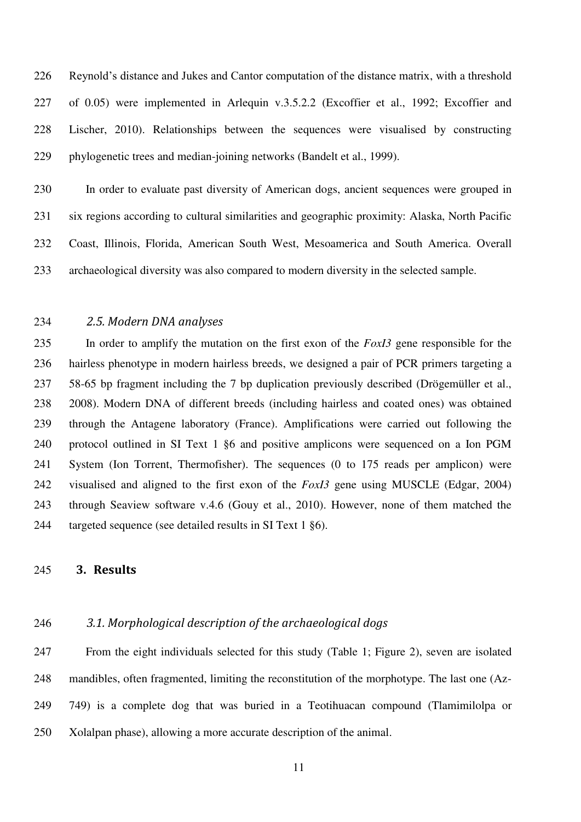226 Reynold's distance and Jukes and Cantor computation of the distance matrix, with a threshold 227 of 0.05) were implemented in Arlequin v.3.5.2.2 (Excoffier et al., 1992; Excoffier and 228 Lischer, 2010). Relationships between the sequences were visualised by constructing 229 phylogenetic trees and median-joining networks (Bandelt et al., 1999).

230 In order to evaluate past diversity of American dogs, ancient sequences were grouped in 231 six regions according to cultural similarities and geographic proximity: Alaska, North Pacific 232 Coast, Illinois, Florida, American South West, Mesoamerica and South America. Overall 233 archaeological diversity was also compared to modern diversity in the selected sample.

#### 234 *2.5. Modern DNA analyses*

235 In order to amplify the mutation on the first exon of the *FoxI3* gene responsible for the 236 hairless phenotype in modern hairless breeds, we designed a pair of PCR primers targeting a 237 58-65 bp fragment including the 7 bp duplication previously described (Drögemüller et al., 238 2008). Modern DNA of different breeds (including hairless and coated ones) was obtained 239 through the Antagene laboratory (France). Amplifications were carried out following the 240 protocol outlined in SI Text 1 §6 and positive amplicons were sequenced on a Ion PGM 241 System (Ion Torrent, Thermofisher). The sequences (0 to 175 reads per amplicon) were 242 visualised and aligned to the first exon of the *FoxI3* gene using MUSCLE (Edgar, 2004) 243 through Seaview software v.4.6 (Gouy et al., 2010). However, none of them matched the 244 targeted sequence (see detailed results in SI Text 1 §6).

# 245 **3. Results**

# 246 *3.1. Morphological description of the archaeological dogs*

247 From the eight individuals selected for this study (Table 1; Figure 2), seven are isolated 248 mandibles, often fragmented, limiting the reconstitution of the morphotype. The last one (Az-249 749) is a complete dog that was buried in a Teotihuacan compound (Tlamimilolpa or 250 Xolalpan phase), allowing a more accurate description of the animal.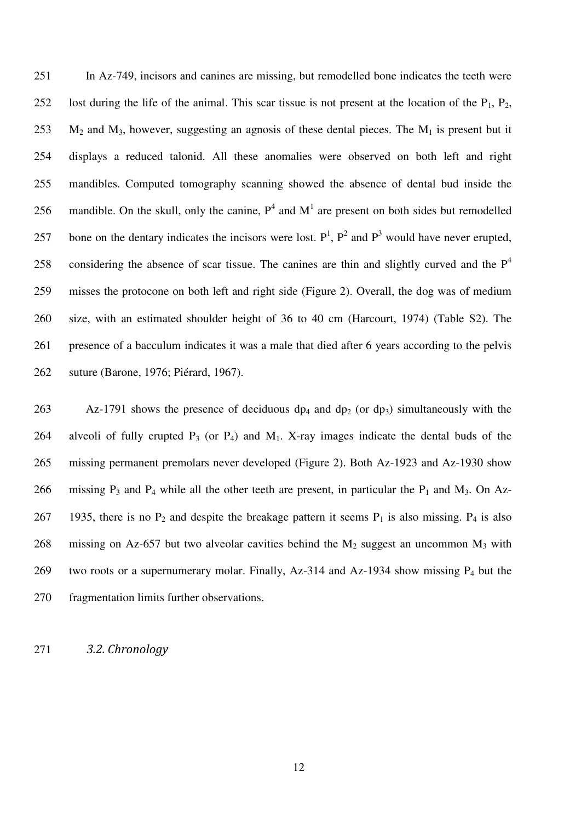251 In Az-749, incisors and canines are missing, but remodelled bone indicates the teeth were 252 lost during the life of the animal. This scar tissue is not present at the location of the  $P_1$ ,  $P_2$ , 253  $M_2$  and  $M_3$ , however, suggesting an agnosis of these dental pieces. The  $M_1$  is present but it 254 displays a reduced talonid. All these anomalies were observed on both left and right 255 mandibles. Computed tomography scanning showed the absence of dental bud inside the 256 mandible. On the skull, only the canine,  $P^4$  and  $M^1$  are present on both sides but remodelled 257 bone on the dentary indicates the incisors were lost.  $P^1$ ,  $P^2$  and  $P^3$  would have never erupted, considering the absence of scar tissue. The canines are thin and slightly curved and the  $P<sup>4</sup>$ 258 259 misses the protocone on both left and right side (Figure 2). Overall, the dog was of medium 260 size, with an estimated shoulder height of 36 to 40 cm (Harcourt, 1974) (Table S2). The 261 presence of a bacculum indicates it was a male that died after 6 years according to the pelvis 262 suture (Barone, 1976; Piérard, 1967).

263 Az-1791 shows the presence of deciduous  $dp_4$  and  $dp_2$  (or  $dp_3$ ) simultaneously with the 264 alveoli of fully erupted  $P_3$  (or  $P_4$ ) and  $M_1$ . X-ray images indicate the dental buds of the 265 missing permanent premolars never developed (Figure 2). Both Az-1923 and Az-1930 show 266 missing  $P_3$  and  $P_4$  while all the other teeth are present, in particular the  $P_1$  and  $M_3$ . On Az-267 1935, there is no  $P_2$  and despite the breakage pattern it seems  $P_1$  is also missing.  $P_4$  is also 268 missing on Az-657 but two alveolar cavities behind the  $M_2$  suggest an uncommon  $M_3$  with 269 two roots or a supernumerary molar. Finally, Az-314 and Az-1934 show missing  $P_4$  but the 270 fragmentation limits further observations.

271 *3.2. Chronology*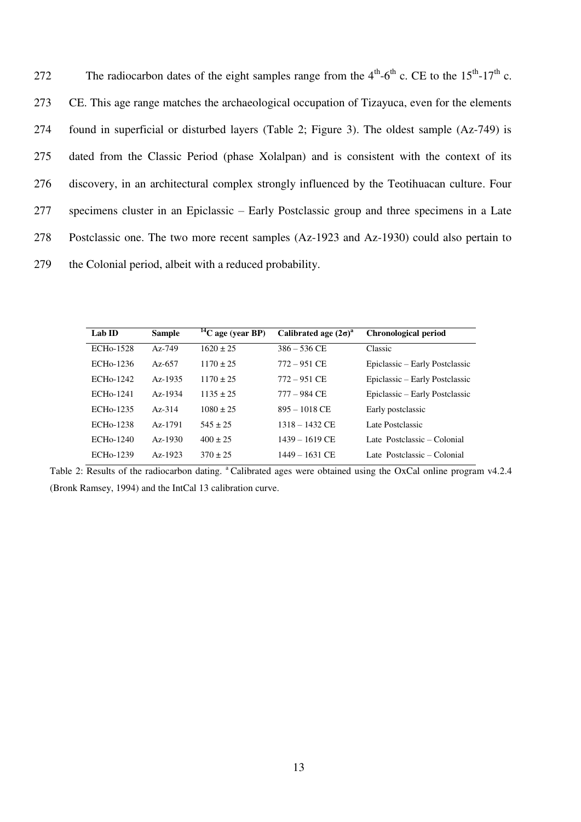The radiocarbon dates of the eight samples range from the  $4<sup>th</sup>-6<sup>th</sup>$  c. CE to the  $15<sup>th</sup>-17<sup>th</sup>$  c. 273 CE. This age range matches the archaeological occupation of Tizayuca, even for the elements 274 found in superficial or disturbed layers (Table 2; Figure 3). The oldest sample (Az-749) is 275 dated from the Classic Period (phase Xolalpan) and is consistent with the context of its 276 discovery, in an architectural complex strongly influenced by the Teotihuacan culture. Four 277 specimens cluster in an Epiclassic – Early Postclassic group and three specimens in a Late 278 Postclassic one. The two more recent samples (Az-1923 and Az-1930) could also pertain to 279 the Colonial period, albeit with a reduced probability.

| Lab ID                 | <b>Sample</b> | $\frac{14}{14}$ C age (year BP) | Calibrated age $(2\sigma)^a$ | <b>Chronological period</b>    |
|------------------------|---------------|---------------------------------|------------------------------|--------------------------------|
| ECH <sub>0</sub> -1528 | $Az-749$      | $1620 \pm 25$                   | $386 - 536$ CE               | Classic                        |
| ECH <sub>0</sub> -1236 | Az-657        | $1170 + 25$                     | $772 - 951$ CE               | Epiclassic – Early Postclassic |
| ECH <sub>0</sub> -1242 | $Az-1935$     | $1170 \pm 25$                   | $772 - 951$ CE               | Epiclassic – Early Postclassic |
| ECH <sub>0</sub> -1241 | $Az-1934$     | $1135 + 25$                     | $777 - 984$ CE               | Epiclassic – Early Postclassic |
| ECH <sub>0</sub> -1235 | $A_{Z-}314$   | $1080 \pm 25$                   | $895 - 1018$ CE              | Early postclassic              |
| ECH <sub>0</sub> -1238 | Az-1791       | $545 + 25$                      | $1318 - 1432$ CE             | Late Postclassic               |
| $ECH0$ -1240           | $Az-1930$     | $400 \pm 25$                    | $1439 - 1619$ CE             | Late Postclassic – Colonial    |
| ECH <sub>0</sub> -1239 | $Az-1923$     | $370 \pm 25$                    | 1449 – 1631 CE               | Late Postclassic – Colonial    |

Table 2: Results of the radiocarbon dating. <sup>a</sup>Calibrated ages were obtained using the OxCal online program v4.2.4 (Bronk Ramsey, 1994) and the IntCal 13 calibration curve.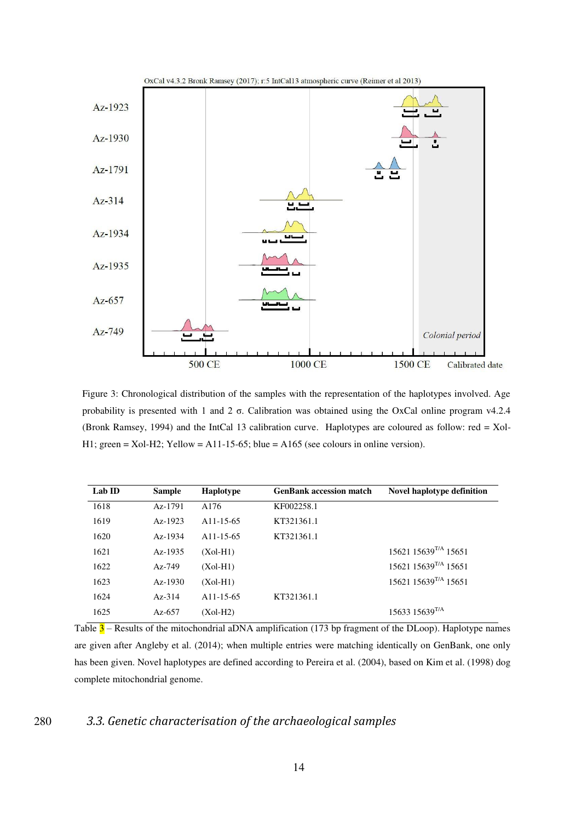

Figure 3: Chronological distribution of the samples with the representation of the haplotypes involved. Age probability is presented with 1 and 2 σ. Calibration was obtained using the OxCal online program v4.2.4 (Bronk Ramsey, 1994) and the IntCal 13 calibration curve. Haplotypes are coloured as follow: red = Xol-H1; green = Xol-H2; Yellow = A11-15-65; blue = A165 (see colours in online version).

| <b>Sample</b> | <b>Haplotype</b>       | <b>GenBank accession match</b> | Novel haplotype definition             |
|---------------|------------------------|--------------------------------|----------------------------------------|
| Az-1791       | A176                   | KF002258.1                     |                                        |
| $Az-1923$     | A <sub>11</sub> -15-65 | KT321361.1                     |                                        |
| $Az-1934$     | A <sub>11</sub> -15-65 | KT321361.1                     |                                        |
| $Az-1935$     | $(Xol-H1)$             |                                | $15621$ $15639$ <sup>T/A</sup> $15651$ |
| $Az-749$      | $(Xol-H1)$             |                                | 15621 15639 <sup>T/A</sup> 15651       |
| $Az-1930$     | $(Xol-H1)$             |                                | $15621$ $15639$ <sup>T/A</sup> $15651$ |
| $Az-314$      | A <sub>11</sub> -15-65 | KT321361.1                     |                                        |
| Az- $657$     | $(Xol-H2)$             |                                | 15633 15639 <sup>T/A</sup>             |
|               |                        |                                |                                        |

Table 3 – Results of the mitochondrial aDNA amplification (173 bp fragment of the DLoop). Haplotype names are given after Angleby et al. (2014); when multiple entries were matching identically on GenBank, one only has been given. Novel haplotypes are defined according to Pereira et al. (2004), based on Kim et al. (1998) dog complete mitochondrial genome.

## 280 *3.3. Genetic characterisation of the archaeological samples*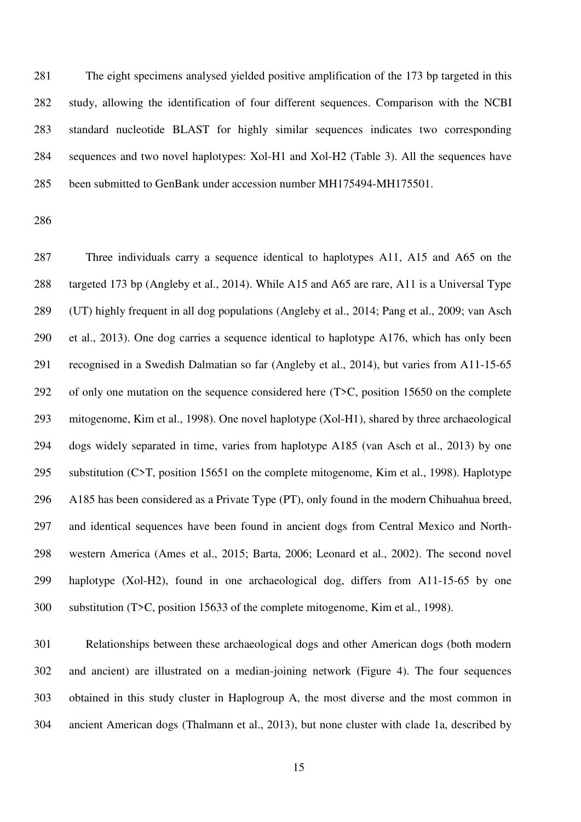281 The eight specimens analysed yielded positive amplification of the 173 bp targeted in this 282 study, allowing the identification of four different sequences. Comparison with the NCBI 283 standard nucleotide BLAST for highly similar sequences indicates two corresponding 284 sequences and two novel haplotypes: Xol-H1 and Xol-H2 (Table 3). All the sequences have 285 been submitted to GenBank under accession number MH175494-MH175501.

286

287 Three individuals carry a sequence identical to haplotypes A11, A15 and A65 on the 288 targeted 173 bp (Angleby et al., 2014). While A15 and A65 are rare, A11 is a Universal Type 289 (UT) highly frequent in all dog populations (Angleby et al., 2014; Pang et al., 2009; van Asch 290 et al., 2013). One dog carries a sequence identical to haplotype A176, which has only been 291 recognised in a Swedish Dalmatian so far (Angleby et al., 2014), but varies from A11-15-65 292 of only one mutation on the sequence considered here (T>C, position 15650 on the complete 293 mitogenome, Kim et al., 1998). One novel haplotype (Xol-H1), shared by three archaeological 294 dogs widely separated in time, varies from haplotype A185 (van Asch et al., 2013) by one 295 substitution (C>T, position 15651 on the complete mitogenome, Kim et al., 1998). Haplotype 296 A185 has been considered as a Private Type (PT), only found in the modern Chihuahua breed, 297 and identical sequences have been found in ancient dogs from Central Mexico and North-298 western America (Ames et al., 2015; Barta, 2006; Leonard et al., 2002). The second novel 299 haplotype (Xol-H2), found in one archaeological dog, differs from A11-15-65 by one 300 substitution (T>C, position 15633 of the complete mitogenome, Kim et al., 1998).

301 Relationships between these archaeological dogs and other American dogs (both modern 302 and ancient) are illustrated on a median-joining network (Figure 4). The four sequences 303 obtained in this study cluster in Haplogroup A, the most diverse and the most common in 304 ancient American dogs (Thalmann et al., 2013), but none cluster with clade 1a, described by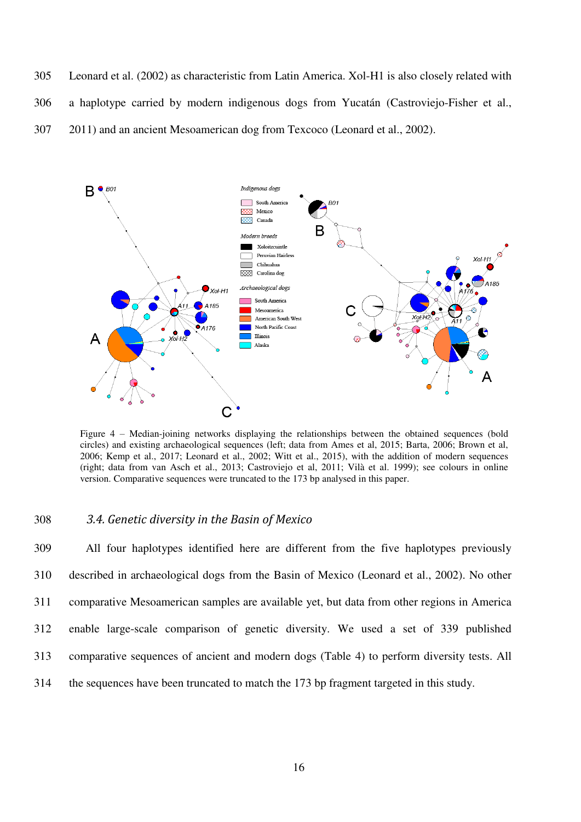305 Leonard et al. (2002) as characteristic from Latin America. Xol-H1 is also closely related with 306 a haplotype carried by modern indigenous dogs from Yucatán (Castroviejo-Fisher et al., 307 2011) and an ancient Mesoamerican dog from Texcoco (Leonard et al., 2002).



Figure 4 – Median-joining networks displaying the relationships between the obtained sequences (bold circles) and existing archaeological sequences (left; data from Ames et al, 2015; Barta, 2006; Brown et al, 2006; Kemp et al., 2017; Leonard et al., 2002; Witt et al., 2015), with the addition of modern sequences (right; data from van Asch et al., 2013; Castroviejo et al, 2011; Vilà et al. 1999); see colours in online version. Comparative sequences were truncated to the 173 bp analysed in this paper.

#### 308 *3.4. Genetic diversity in the Basin of Mexico*

309 All four haplotypes identified here are different from the five haplotypes previously 310 described in archaeological dogs from the Basin of Mexico (Leonard et al., 2002). No other 311 comparative Mesoamerican samples are available yet, but data from other regions in America 312 enable large-scale comparison of genetic diversity. We used a set of 339 published 313 comparative sequences of ancient and modern dogs (Table 4) to perform diversity tests. All 314 the sequences have been truncated to match the 173 bp fragment targeted in this study.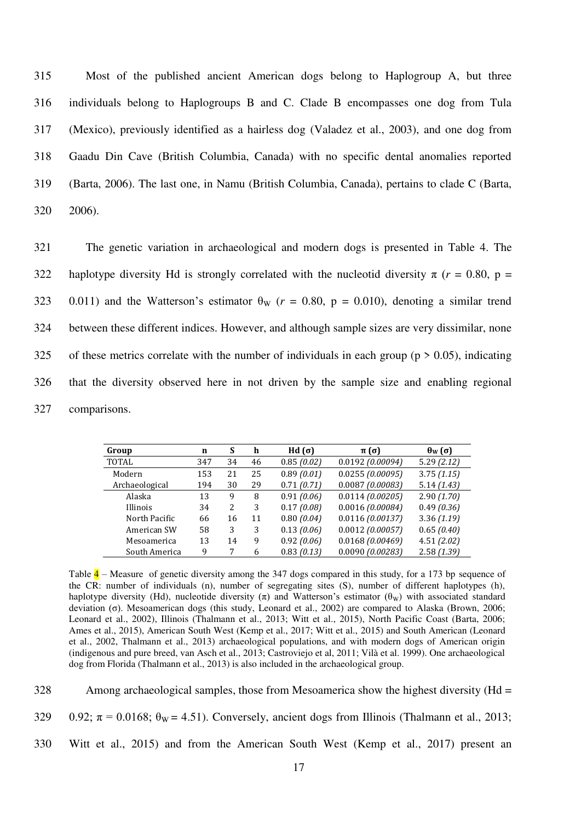315 Most of the published ancient American dogs belong to Haplogroup A, but three 316 individuals belong to Haplogroups B and C. Clade B encompasses one dog from Tula 317 (Mexico), previously identified as a hairless dog (Valadez et al., 2003), and one dog from 318 Gaadu Din Cave (British Columbia, Canada) with no specific dental anomalies reported 319 (Barta, 2006). The last one, in Namu (British Columbia, Canada), pertains to clade C (Barta, 320 2006).

321 The genetic variation in archaeological and modern dogs is presented in Table 4. The 322 haplotype diversity Hd is strongly correlated with the nucleotid diversity  $\pi$  ( $r = 0.80$ ,  $p =$ 323 0.011) and the Watterson's estimator  $\theta_{\rm W}$  ( $r = 0.80$ ,  $p = 0.010$ ), denoting a similar trend 324 between these different indices. However, and although sample sizes are very dissimilar, none 325 of these metrics correlate with the number of individuals in each group ( $p > 0.05$ ), indicating 326 that the diversity observed here in not driven by the sample size and enabling regional 327 comparisons.

| Group           | n   | S  | h  | Hd (σ)     | $\pi(\sigma)$      | $\theta_W(\sigma)$ |
|-----------------|-----|----|----|------------|--------------------|--------------------|
| TOTAL           | 347 | 34 | 46 | 0.85(0.02) | 0.0192 (0.00094)   | 5.29(2.12)         |
| Modern          | 153 | 21 | 25 | 0.89(0.01) | 0.0255(0.00095)    | 3.75(1.15)         |
| Archaeological  | 194 | 30 | 29 | 0.71(0.71) | 0.0087(0.00083)    | 5.14(1.43)         |
| Alaska          | 13  | 9  | 8  | 0.91(0.06) | 0.0114(0.00205)    | 2.90(1.70)         |
| <b>Illinois</b> | 34  | 2  | 3  | 0.17(0.08) | 0.0016(0.00084)    | 0.49(0.36)         |
| North Pacific   | 66  | 16 | 11 | 0.80(0.04) | 0.0116(0.00137)    | 3.36(1.19)         |
| American SW     | 58  | 3  | 3  | 0.13(0.06) | $0.0012$ (0.00057) | 0.65(0.40)         |
| Mesoamerica     | 13  | 14 | 9  | 0.92(0.06) | 0.0168(0.00469)    | 4.51(2.02)         |
| South America   | 9   | 7  | 6  | 0.83(0.13) | $0.0090$ (0.00283) | 2.58(1.39)         |

Table  $\frac{4}{1}$  – Measure of genetic diversity among the 347 dogs compared in this study, for a 173 bp sequence of the CR: number of individuals (n), number of segregating sites (S), number of different haplotypes (h), haplotype diversity (Hd), nucleotide diversity ( $\pi$ ) and Watterson's estimator ( $\theta_{\rm W}$ ) with associated standard deviation (σ). Mesoamerican dogs (this study, Leonard et al., 2002) are compared to Alaska (Brown, 2006; Leonard et al., 2002), Illinois (Thalmann et al., 2013; Witt et al., 2015), North Pacific Coast (Barta, 2006; Ames et al., 2015), American South West (Kemp et al., 2017; Witt et al., 2015) and South American (Leonard et al., 2002, Thalmann et al., 2013) archaeological populations, and with modern dogs of American origin (indigenous and pure breed, van Asch et al., 2013; Castroviejo et al, 2011; Vilà et al. 1999). One archaeological dog from Florida (Thalmann et al., 2013) is also included in the archaeological group.

328 Among archaeological samples, those from Mesoamerica show the highest diversity (Hd =

329 0.92;  $\pi = 0.0168$ ;  $\theta_W = 4.51$ ). Conversely, ancient dogs from Illinois (Thalmann et al., 2013;

330 Witt et al., 2015) and from the American South West (Kemp et al., 2017) present an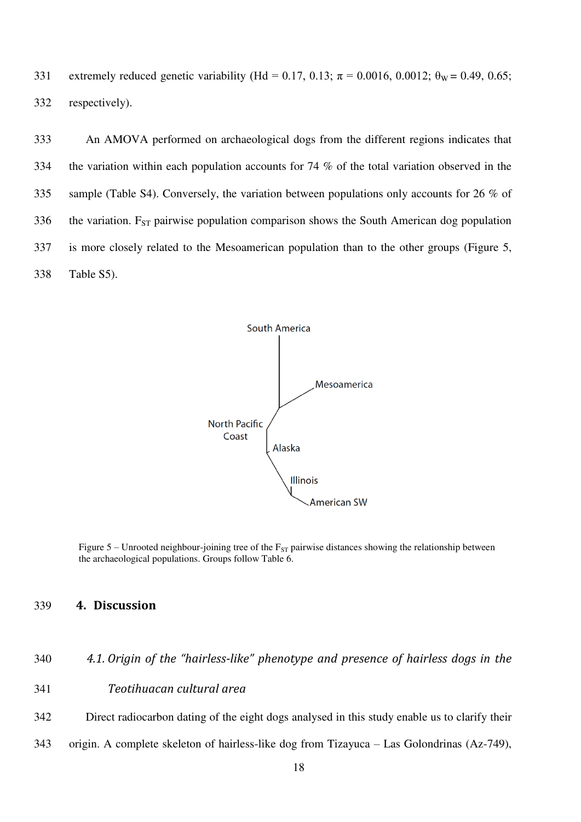331 extremely reduced genetic variability (Hd = 0.17, 0.13;  $\pi$  = 0.0016, 0.0012;  $\theta_W$  = 0.49, 0.65; 332 respectively).

333 An AMOVA performed on archaeological dogs from the different regions indicates that 334 the variation within each population accounts for 74 % of the total variation observed in the 335 sample (Table S4). Conversely, the variation between populations only accounts for 26 % of 336 the variation.  $F_{ST}$  pairwise population comparison shows the South American dog population 337 is more closely related to the Mesoamerican population than to the other groups (Figure 5, 338 Table S5).



Figure 5 – Unrooted neighbour-joining tree of the  $F_{ST}$  pairwise distances showing the relationship between the archaeological populations. Groups follow Table 6.

## 339 **4. Discussion**

| 340 | 4.1. Origin of the "hairless-like" phenotype and presence of hairless dogs in the |  |  |  |
|-----|-----------------------------------------------------------------------------------|--|--|--|
|     |                                                                                   |  |  |  |

- 341 *Teotihuacan cultural area*
- 342 Direct radiocarbon dating of the eight dogs analysed in this study enable us to clarify their
- 343 origin. A complete skeleton of hairless-like dog from Tizayuca Las Golondrinas (Az-749),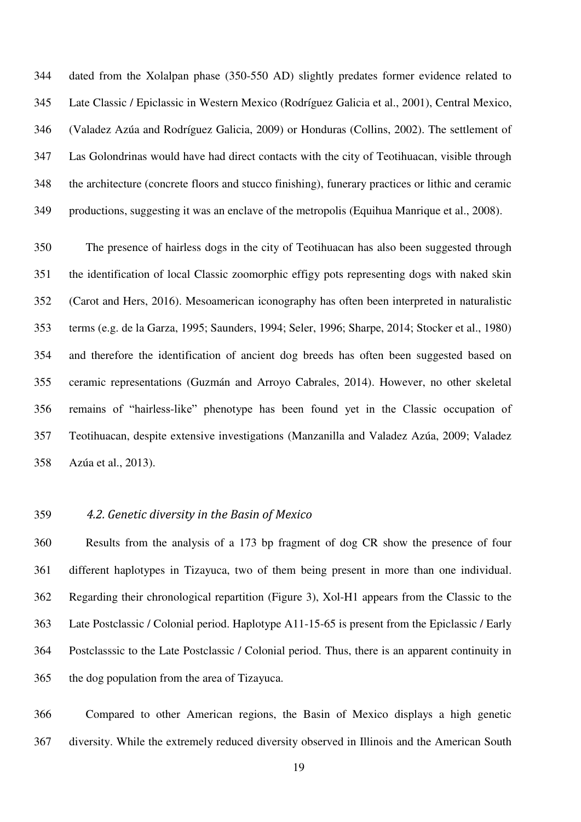344 dated from the Xolalpan phase (350-550 AD) slightly predates former evidence related to 345 Late Classic / Epiclassic in Western Mexico (Rodríguez Galicia et al., 2001), Central Mexico, 346 (Valadez Azúa and Rodríguez Galicia, 2009) or Honduras (Collins, 2002). The settlement of 347 Las Golondrinas would have had direct contacts with the city of Teotihuacan, visible through 348 the architecture (concrete floors and stucco finishing), funerary practices or lithic and ceramic 349 productions, suggesting it was an enclave of the metropolis (Equihua Manrique et al., 2008).

350 The presence of hairless dogs in the city of Teotihuacan has also been suggested through 351 the identification of local Classic zoomorphic effigy pots representing dogs with naked skin 352 (Carot and Hers, 2016). Mesoamerican iconography has often been interpreted in naturalistic 353 terms (e.g. de la Garza, 1995; Saunders, 1994; Seler, 1996; Sharpe, 2014; Stocker et al., 1980) 354 and therefore the identification of ancient dog breeds has often been suggested based on 355 ceramic representations (Guzmán and Arroyo Cabrales, 2014). However, no other skeletal 356 remains of "hairless-like" phenotype has been found yet in the Classic occupation of 357 Teotihuacan, despite extensive investigations (Manzanilla and Valadez Azúa, 2009; Valadez 358 Azúa et al., 2013).

#### 359 *4.2. Genetic diversity in the Basin of Mexico*

360 Results from the analysis of a 173 bp fragment of dog CR show the presence of four 361 different haplotypes in Tizayuca, two of them being present in more than one individual. 362 Regarding their chronological repartition (Figure 3), Xol-H1 appears from the Classic to the 363 Late Postclassic / Colonial period. Haplotype A11-15-65 is present from the Epiclassic / Early 364 Postclasssic to the Late Postclassic / Colonial period. Thus, there is an apparent continuity in 365 the dog population from the area of Tizayuca.

366 Compared to other American regions, the Basin of Mexico displays a high genetic 367 diversity. While the extremely reduced diversity observed in Illinois and the American South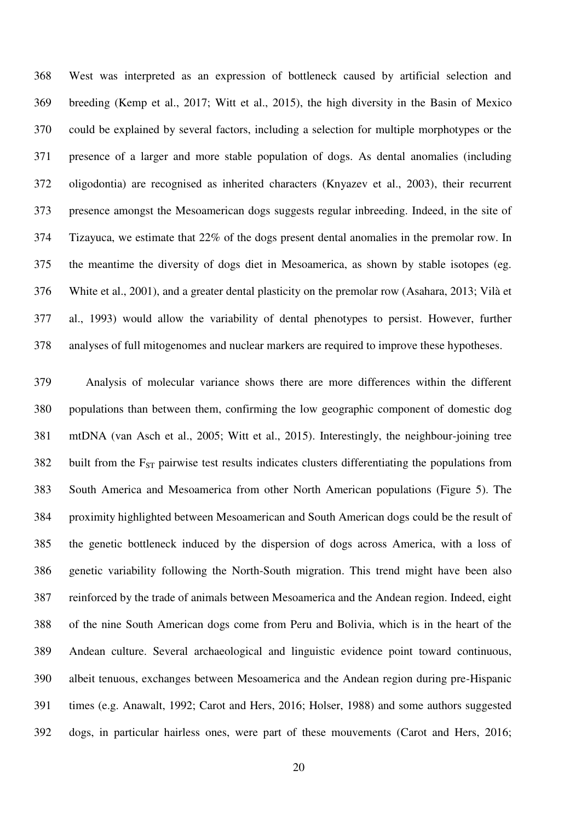368 West was interpreted as an expression of bottleneck caused by artificial selection and 369 breeding (Kemp et al., 2017; Witt et al., 2015), the high diversity in the Basin of Mexico 370 could be explained by several factors, including a selection for multiple morphotypes or the 371 presence of a larger and more stable population of dogs. As dental anomalies (including 372 oligodontia) are recognised as inherited characters (Knyazev et al., 2003), their recurrent 373 presence amongst the Mesoamerican dogs suggests regular inbreeding. Indeed, in the site of 374 Tizayuca, we estimate that 22% of the dogs present dental anomalies in the premolar row. In 375 the meantime the diversity of dogs diet in Mesoamerica, as shown by stable isotopes (eg. 376 White et al., 2001), and a greater dental plasticity on the premolar row (Asahara, 2013; Vilà et 377 al., 1993) would allow the variability of dental phenotypes to persist. However, further 378 analyses of full mitogenomes and nuclear markers are required to improve these hypotheses.

379 Analysis of molecular variance shows there are more differences within the different 380 populations than between them, confirming the low geographic component of domestic dog 381 mtDNA (van Asch et al., 2005; Witt et al., 2015). Interestingly, the neighbour-joining tree  $382$  built from the F<sub>ST</sub> pairwise test results indicates clusters differentiating the populations from 383 South America and Mesoamerica from other North American populations (Figure 5). The 384 proximity highlighted between Mesoamerican and South American dogs could be the result of 385 the genetic bottleneck induced by the dispersion of dogs across America, with a loss of 386 genetic variability following the North-South migration. This trend might have been also 387 reinforced by the trade of animals between Mesoamerica and the Andean region. Indeed, eight 388 of the nine South American dogs come from Peru and Bolivia, which is in the heart of the 389 Andean culture. Several archaeological and linguistic evidence point toward continuous, 390 albeit tenuous, exchanges between Mesoamerica and the Andean region during pre-Hispanic 391 times (e.g. Anawalt, 1992; Carot and Hers, 2016; Holser, 1988) and some authors suggested 392 dogs, in particular hairless ones, were part of these mouvements (Carot and Hers, 2016;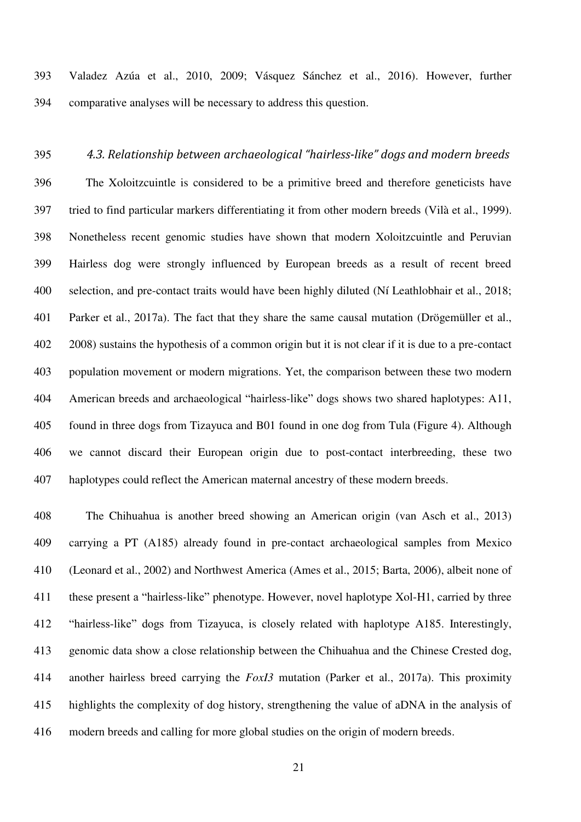393 Valadez Azúa et al., 2010, 2009; Vásquez Sánchez et al., 2016). However, further 394 comparative analyses will be necessary to address this question.

395 *4.3. Relationship between archaeological "hairless-like" dogs and modern breeds*  396 The Xoloitzcuintle is considered to be a primitive breed and therefore geneticists have 397 tried to find particular markers differentiating it from other modern breeds (Vilà et al., 1999). 398 Nonetheless recent genomic studies have shown that modern Xoloitzcuintle and Peruvian 399 Hairless dog were strongly influenced by European breeds as a result of recent breed 400 selection, and pre-contact traits would have been highly diluted (Ní Leathlobhair et al., 2018; 401 Parker et al., 2017a). The fact that they share the same causal mutation (Drögemüller et al., 402 2008) sustains the hypothesis of a common origin but it is not clear if it is due to a pre-contact 403 population movement or modern migrations. Yet, the comparison between these two modern 404 American breeds and archaeological "hairless-like" dogs shows two shared haplotypes: A11, 405 found in three dogs from Tizayuca and B01 found in one dog from Tula (Figure 4). Although 406 we cannot discard their European origin due to post-contact interbreeding, these two 407 haplotypes could reflect the American maternal ancestry of these modern breeds.

408 The Chihuahua is another breed showing an American origin (van Asch et al., 2013) 409 carrying a PT (A185) already found in pre-contact archaeological samples from Mexico 410 (Leonard et al., 2002) and Northwest America (Ames et al., 2015; Barta, 2006), albeit none of 411 these present a "hairless-like" phenotype. However, novel haplotype Xol-H1, carried by three 412 "hairless-like" dogs from Tizayuca, is closely related with haplotype A185. Interestingly, 413 genomic data show a close relationship between the Chihuahua and the Chinese Crested dog, 414 another hairless breed carrying the *FoxI3* mutation (Parker et al., 2017a). This proximity 415 highlights the complexity of dog history, strengthening the value of aDNA in the analysis of 416 modern breeds and calling for more global studies on the origin of modern breeds.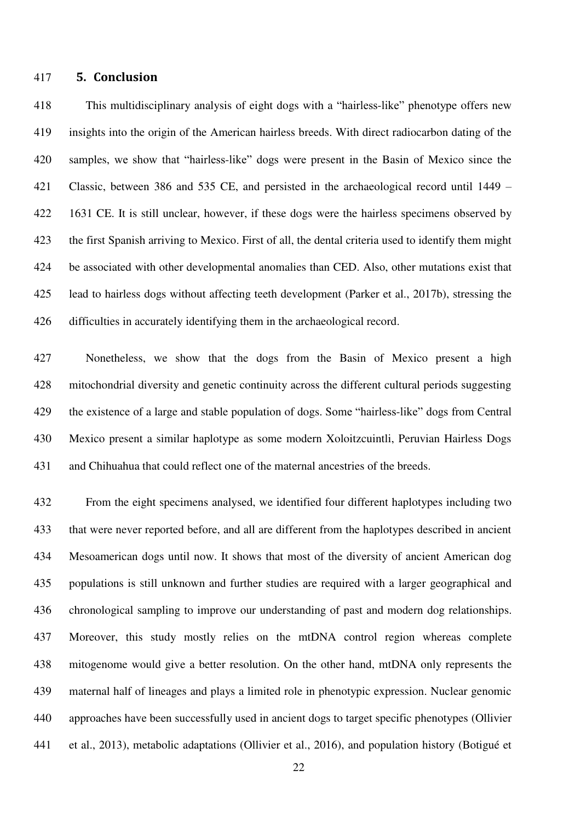#### 417 **5. Conclusion**

418 This multidisciplinary analysis of eight dogs with a "hairless-like" phenotype offers new 419 insights into the origin of the American hairless breeds. With direct radiocarbon dating of the 420 samples, we show that "hairless-like" dogs were present in the Basin of Mexico since the 421 Classic, between 386 and 535 CE, and persisted in the archaeological record until 1449 – 422 1631 CE. It is still unclear, however, if these dogs were the hairless specimens observed by 423 the first Spanish arriving to Mexico. First of all, the dental criteria used to identify them might 424 be associated with other developmental anomalies than CED. Also, other mutations exist that 425 lead to hairless dogs without affecting teeth development (Parker et al., 2017b), stressing the 426 difficulties in accurately identifying them in the archaeological record.

427 Nonetheless, we show that the dogs from the Basin of Mexico present a high 428 mitochondrial diversity and genetic continuity across the different cultural periods suggesting 429 the existence of a large and stable population of dogs. Some "hairless-like" dogs from Central 430 Mexico present a similar haplotype as some modern Xoloitzcuintli, Peruvian Hairless Dogs 431 and Chihuahua that could reflect one of the maternal ancestries of the breeds.

432 From the eight specimens analysed, we identified four different haplotypes including two 433 that were never reported before, and all are different from the haplotypes described in ancient 434 Mesoamerican dogs until now. It shows that most of the diversity of ancient American dog 435 populations is still unknown and further studies are required with a larger geographical and 436 chronological sampling to improve our understanding of past and modern dog relationships. 437 Moreover, this study mostly relies on the mtDNA control region whereas complete 438 mitogenome would give a better resolution. On the other hand, mtDNA only represents the 439 maternal half of lineages and plays a limited role in phenotypic expression. Nuclear genomic 440 approaches have been successfully used in ancient dogs to target specific phenotypes (Ollivier 441 et al., 2013), metabolic adaptations (Ollivier et al., 2016), and population history (Botigué et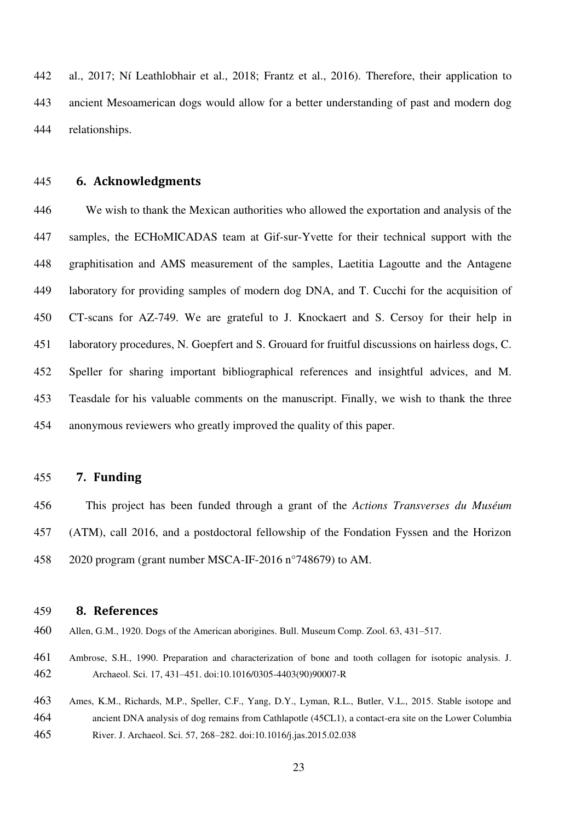442 al., 2017; Ní Leathlobhair et al., 2018; Frantz et al., 2016). Therefore, their application to 443 ancient Mesoamerican dogs would allow for a better understanding of past and modern dog 444 relationships.

#### 445 **6. Acknowledgments**

446 We wish to thank the Mexican authorities who allowed the exportation and analysis of the 447 samples, the ECHoMICADAS team at Gif-sur-Yvette for their technical support with the 448 graphitisation and AMS measurement of the samples, Laetitia Lagoutte and the Antagene 449 laboratory for providing samples of modern dog DNA, and T. Cucchi for the acquisition of 450 CT-scans for AZ-749. We are grateful to J. Knockaert and S. Cersoy for their help in 451 laboratory procedures, N. Goepfert and S. Grouard for fruitful discussions on hairless dogs, C. 452 Speller for sharing important bibliographical references and insightful advices, and M. 453 Teasdale for his valuable comments on the manuscript. Finally, we wish to thank the three 454 anonymous reviewers who greatly improved the quality of this paper.

#### 455 **7. Funding**

456 This project has been funded through a grant of the *Actions Transverses du Muséum* 457 (ATM), call 2016, and a postdoctoral fellowship of the Fondation Fyssen and the Horizon 458 2020 program (grant number MSCA-IF-2016 n°748679) to AM.

#### 459 **8. References**

460 Allen, G.M., 1920. Dogs of the American aborigines. Bull. Museum Comp. Zool. 63, 431–517.

- 461 Ambrose, S.H., 1990. Preparation and characterization of bone and tooth collagen for isotopic analysis. J. 462 Archaeol. Sci. 17, 431–451. doi:10.1016/0305-4403(90)90007-R
- 463 Ames, K.M., Richards, M.P., Speller, C.F., Yang, D.Y., Lyman, R.L., Butler, V.L., 2015. Stable isotope and 464 ancient DNA analysis of dog remains from Cathlapotle (45CL1), a contact-era site on the Lower Columbia 465 River. J. Archaeol. Sci. 57, 268–282. doi:10.1016/j.jas.2015.02.038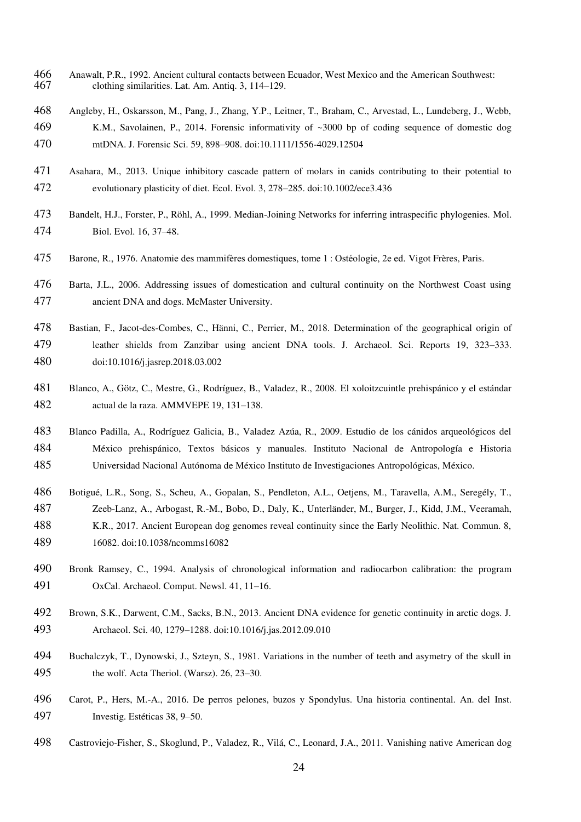- 466 Anawalt, P.R., 1992. Ancient cultural contacts between Ecuador, West Mexico and the American Southwest:<br>467 clothing similarities. Lat. Am. Antiq. 3, 114–129. clothing similarities. Lat. Am. Antiq. 3, 114–129.
- Angleby, H., Oskarsson, M., Pang, J., Zhang, Y.P., Leitner, T., Braham, C., Arvestad, L., Lundeberg, J., Webb, K.M., Savolainen, P., 2014. Forensic informativity of ~3000 bp of coding sequence of domestic dog mtDNA. J. Forensic Sci. 59, 898–908. doi:10.1111/1556-4029.12504
- Asahara, M., 2013. Unique inhibitory cascade pattern of molars in canids contributing to their potential to evolutionary plasticity of diet. Ecol. Evol. 3, 278–285. doi:10.1002/ece3.436
- Bandelt, H.J., Forster, P., Röhl, A., 1999. Median-Joining Networks for inferring intraspecific phylogenies. Mol. Biol. Evol. 16, 37–48.
- Barone, R., 1976. Anatomie des mammifères domestiques, tome 1 : Ostéologie, 2e ed. Vigot Frères, Paris.
- Barta, J.L., 2006. Addressing issues of domestication and cultural continuity on the Northwest Coast using ancient DNA and dogs. McMaster University.
- Bastian, F., Jacot-des-Combes, C., Hänni, C., Perrier, M., 2018. Determination of the geographical origin of leather shields from Zanzibar using ancient DNA tools. J. Archaeol. Sci. Reports 19, 323–333. doi:10.1016/j.jasrep.2018.03.002
- Blanco, A., Götz, C., Mestre, G., Rodríguez, B., Valadez, R., 2008. El xoloitzcuintle prehispánico y el estándar actual de la raza. AMMVEPE 19, 131–138.
- Blanco Padilla, A., Rodríguez Galicia, B., Valadez Azúa, R., 2009. Estudio de los cánidos arqueológicos del México prehispánico, Textos básicos y manuales. Instituto Nacional de Antropología e Historia Universidad Nacional Autónoma de México Instituto de Investigaciones Antropológicas, México.
- Botigué, L.R., Song, S., Scheu, A., Gopalan, S., Pendleton, A.L., Oetjens, M., Taravella, A.M., Seregély, T., Zeeb-Lanz, A., Arbogast, R.-M., Bobo, D., Daly, K., Unterländer, M., Burger, J., Kidd, J.M., Veeramah, K.R., 2017. Ancient European dog genomes reveal continuity since the Early Neolithic. Nat. Commun. 8, 16082. doi:10.1038/ncomms16082
- Bronk Ramsey, C., 1994. Analysis of chronological information and radiocarbon calibration: the program OxCal. Archaeol. Comput. Newsl. 41, 11–16.
- Brown, S.K., Darwent, C.M., Sacks, B.N., 2013. Ancient DNA evidence for genetic continuity in arctic dogs. J. Archaeol. Sci. 40, 1279–1288. doi:10.1016/j.jas.2012.09.010
- Buchalczyk, T., Dynowski, J., Szteyn, S., 1981. Variations in the number of teeth and asymetry of the skull in the wolf. Acta Theriol. (Warsz). 26, 23–30.
- Carot, P., Hers, M.-A., 2016. De perros pelones, buzos y Spondylus. Una historia continental. An. del Inst. Investig. Estéticas 38, 9–50.
- Castroviejo-Fisher, S., Skoglund, P., Valadez, R., Vilá, C., Leonard, J.A., 2011. Vanishing native American dog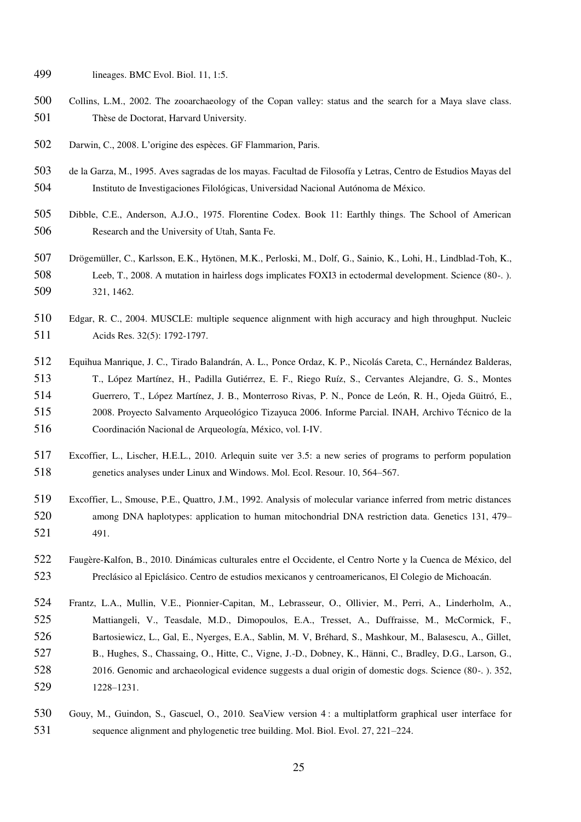- lineages. BMC Evol. Biol. 11, 1:5.
- Collins, L.M., 2002. The zooarchaeology of the Copan valley: status and the search for a Maya slave class. Thèse de Doctorat, Harvard University.
- Darwin, C., 2008. L'origine des espèces. GF Flammarion, Paris.
- de la Garza, M., 1995. Aves sagradas de los mayas. Facultad de Filosofía y Letras, Centro de Estudios Mayas del Instituto de Investigaciones Filológicas, Universidad Nacional Autónoma de México.
- Dibble, C.E., Anderson, A.J.O., 1975. Florentine Codex. Book 11: Earthly things. The School of American Research and the University of Utah, Santa Fe.
- Drögemüller, C., Karlsson, E.K., Hytönen, M.K., Perloski, M., Dolf, G., Sainio, K., Lohi, H., Lindblad-Toh, K., Leeb, T., 2008. A mutation in hairless dogs implicates FOXI3 in ectodermal development. Science (80-. ). 321, 1462.
- Edgar, R. C., 2004. MUSCLE: multiple sequence alignment with high accuracy and high throughput. Nucleic Acids Res. 32(5): 1792-1797.
- Equihua Manrique, J. C., Tirado Balandrán, A. L., Ponce Ordaz, K. P., Nicolás Careta, C., Hernández Balderas, T., López Martínez, H., Padilla Gutiérrez, E. F., Riego Ruíz, S., Cervantes Alejandre, G. S., Montes Guerrero, T., López Martínez, J. B., Monterroso Rivas, P. N., Ponce de León, R. H., Ojeda Güitró, E., 2008. Proyecto Salvamento Arqueológico Tizayuca 2006. Informe Parcial. INAH, Archivo Técnico de la Coordinación Nacional de Arqueología, México, vol. I-IV.
- Excoffier, L., Lischer, H.E.L., 2010. Arlequin suite ver 3.5: a new series of programs to perform population genetics analyses under Linux and Windows. Mol. Ecol. Resour. 10, 564–567.
- Excoffier, L., Smouse, P.E., Quattro, J.M., 1992. Analysis of molecular variance inferred from metric distances among DNA haplotypes: application to human mitochondrial DNA restriction data. Genetics 131, 479– 491.
- Faugère-Kalfon, B., 2010. Dinámicas culturales entre el Occidente, el Centro Norte y la Cuenca de México, del Preclásico al Epiclásico. Centro de estudios mexicanos y centroamericanos, El Colegio de Michoacán.
- Frantz, L.A., Mullin, V.E., Pionnier-Capitan, M., Lebrasseur, O., Ollivier, M., Perri, A., Linderholm, A., Mattiangeli, V., Teasdale, M.D., Dimopoulos, E.A., Tresset, A., Duffraisse, M., McCormick, F., Bartosiewicz, L., Gal, E., Nyerges, E.A., Sablin, M. V, Bréhard, S., Mashkour, M., Balasescu, A., Gillet, B., Hughes, S., Chassaing, O., Hitte, C., Vigne, J.-D., Dobney, K., Hänni, C., Bradley, D.G., Larson, G., 2016. Genomic and archaeological evidence suggests a dual origin of domestic dogs. Science (80-. ). 352, 1228–1231.
- Gouy, M., Guindon, S., Gascuel, O., 2010. SeaView version 4 : a multiplatform graphical user interface for sequence alignment and phylogenetic tree building. Mol. Biol. Evol. 27, 221–224.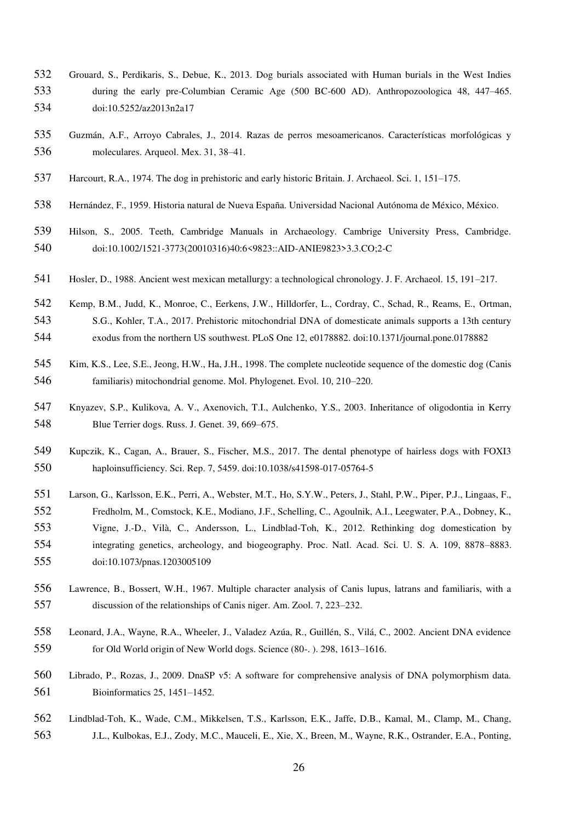- Grouard, S., Perdikaris, S., Debue, K., 2013. Dog burials associated with Human burials in the West Indies during the early pre-Columbian Ceramic Age (500 BC-600 AD). Anthropozoologica 48, 447–465. doi:10.5252/az2013n2a17
- Guzmán, A.F., Arroyo Cabrales, J., 2014. Razas de perros mesoamericanos. Características morfológicas y moleculares. Arqueol. Mex. 31, 38–41.
- Harcourt, R.A., 1974. The dog in prehistoric and early historic Britain. J. Archaeol. Sci. 1, 151–175.
- Hernández, F., 1959. Historia natural de Nueva España. Universidad Nacional Autónoma de México, México.
- Hilson, S., 2005. Teeth, Cambridge Manuals in Archaeology. Cambrige University Press, Cambridge. doi:10.1002/1521-3773(20010316)40:6<9823::AID-ANIE9823>3.3.CO;2-C
- Hosler, D., 1988. Ancient west mexican metallurgy: a technological chronology. J. F. Archaeol. 15, 191–217.
- Kemp, B.M., Judd, K., Monroe, C., Eerkens, J.W., Hilldorfer, L., Cordray, C., Schad, R., Reams, E., Ortman,
- S.G., Kohler, T.A., 2017. Prehistoric mitochondrial DNA of domesticate animals supports a 13th century
- exodus from the northern US southwest. PLoS One 12, e0178882. doi:10.1371/journal.pone.0178882
- Kim, K.S., Lee, S.E., Jeong, H.W., Ha, J.H., 1998. The complete nucleotide sequence of the domestic dog (Canis familiaris) mitochondrial genome. Mol. Phylogenet. Evol. 10, 210–220.
- Knyazev, S.P., Kulikova, A. V., Axenovich, T.I., Aulchenko, Y.S., 2003. Inheritance of oligodontia in Kerry Blue Terrier dogs. Russ. J. Genet. 39, 669–675.
- Kupczik, K., Cagan, A., Brauer, S., Fischer, M.S., 2017. The dental phenotype of hairless dogs with FOXI3 haploinsufficiency. Sci. Rep. 7, 5459. doi:10.1038/s41598-017-05764-5
- Larson, G., Karlsson, E.K., Perri, A., Webster, M.T., Ho, S.Y.W., Peters, J., Stahl, P.W., Piper, P.J., Lingaas, F.,
- Fredholm, M., Comstock, K.E., Modiano, J.F., Schelling, C., Agoulnik, A.I., Leegwater, P.A., Dobney, K., Vigne, J.-D., Vilà, C., Andersson, L., Lindblad-Toh, K., 2012. Rethinking dog domestication by integrating genetics, archeology, and biogeography. Proc. Natl. Acad. Sci. U. S. A. 109, 8878–8883. doi:10.1073/pnas.1203005109
- Lawrence, B., Bossert, W.H., 1967. Multiple character analysis of Canis lupus, latrans and familiaris, with a discussion of the relationships of Canis niger. Am. Zool. 7, 223–232.
- Leonard, J.A., Wayne, R.A., Wheeler, J., Valadez Azúa, R., Guillén, S., Vilá, C., 2002. Ancient DNA evidence for Old World origin of New World dogs. Science (80-. ). 298, 1613–1616.
- Librado, P., Rozas, J., 2009. DnaSP v5: A software for comprehensive analysis of DNA polymorphism data. Bioinformatics 25, 1451–1452.
- Lindblad-Toh, K., Wade, C.M., Mikkelsen, T.S., Karlsson, E.K., Jaffe, D.B., Kamal, M., Clamp, M., Chang, J.L., Kulbokas, E.J., Zody, M.C., Mauceli, E., Xie, X., Breen, M., Wayne, R.K., Ostrander, E.A., Ponting,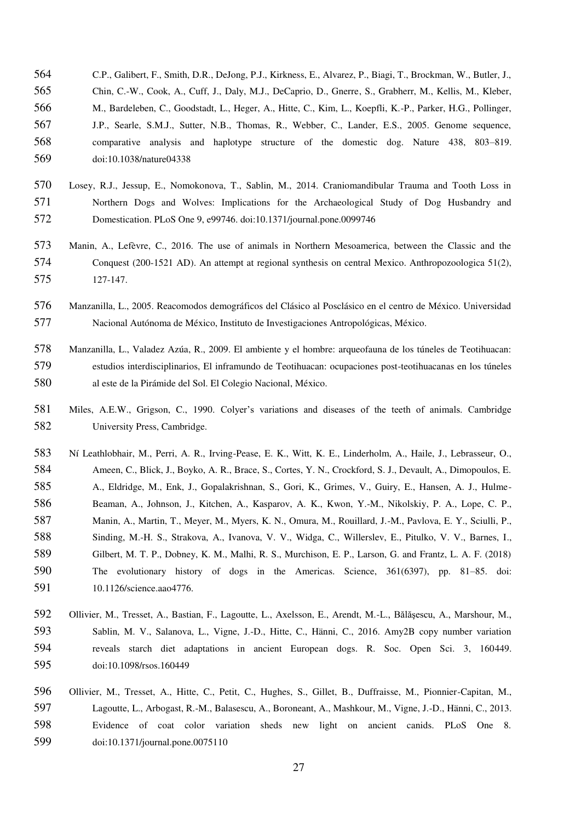- C.P., Galibert, F., Smith, D.R., DeJong, P.J., Kirkness, E., Alvarez, P., Biagi, T., Brockman, W., Butler, J., Chin, C.-W., Cook, A., Cuff, J., Daly, M.J., DeCaprio, D., Gnerre, S., Grabherr, M., Kellis, M., Kleber, M., Bardeleben, C., Goodstadt, L., Heger, A., Hitte, C., Kim, L., Koepfli, K.-P., Parker, H.G., Pollinger, J.P., Searle, S.M.J., Sutter, N.B., Thomas, R., Webber, C., Lander, E.S., 2005. Genome sequence, comparative analysis and haplotype structure of the domestic dog. Nature 438, 803–819. doi:10.1038/nature04338
- Losey, R.J., Jessup, E., Nomokonova, T., Sablin, M., 2014. Craniomandibular Trauma and Tooth Loss in Northern Dogs and Wolves: Implications for the Archaeological Study of Dog Husbandry and Domestication. PLoS One 9, e99746. doi:10.1371/journal.pone.0099746
- Manin, A., Lefèvre, C., 2016. The use of animals in Northern Mesoamerica, between the Classic and the Conquest (200-1521 AD). An attempt at regional synthesis on central Mexico. Anthropozoologica 51(2), 127-147.
- Manzanilla, L., 2005. Reacomodos demográficos del Clásico al Posclásico en el centro de México. Universidad Nacional Autónoma de México, Instituto de Investigaciones Antropológicas, México.
- Manzanilla, L., Valadez Azúa, R., 2009. El ambiente y el hombre: arqueofauna de los túneles de Teotihuacan: estudios interdisciplinarios, El inframundo de Teotihuacan: ocupaciones post-teotihuacanas en los túneles al este de la Pirámide del Sol. El Colegio Nacional, México.
- Miles, A.E.W., Grigson, C., 1990. Colyer's variations and diseases of the teeth of animals. Cambridge University Press, Cambridge.
- Ní Leathlobhair, M., Perri, A. R., Irving-Pease, E. K., Witt, K. E., Linderholm, A., Haile, J., Lebrasseur, O., Ameen, C., Blick, J., Boyko, A. R., Brace, S., Cortes, Y. N., Crockford, S. J., Devault, A., Dimopoulos, E. A., Eldridge, M., Enk, J., Gopalakrishnan, S., Gori, K., Grimes, V., Guiry, E., Hansen, A. J., Hulme-Beaman, A., Johnson, J., Kitchen, A., Kasparov, A. K., Kwon, Y.-M., Nikolskiy, P. A., Lope, C. P., Manin, A., Martin, T., Meyer, M., Myers, K. N., Omura, M., Rouillard, J.-M., Pavlova, E. Y., Sciulli, P., Sinding, M.-H. S., Strakova, A., Ivanova, V. V., Widga, C., Willerslev, E., Pitulko, V. V., Barnes, I., Gilbert, M. T. P., Dobney, K. M., Malhi, R. S., Murchison, E. P., Larson, G. and Frantz, L. A. F. (2018) The evolutionary history of dogs in the Americas. Science, 361(6397), pp. 81–85. doi: 591 10.1126/science.aao4776.
- Ollivier, M., Tresset, A., Bastian, F., Lagoutte, L., Axelsson, E., Arendt, M.-L., Bălăşescu, A., Marshour, M., Sablin, M. V., Salanova, L., Vigne, J.-D., Hitte, C., Hänni, C., 2016. Amy2B copy number variation reveals starch diet adaptations in ancient European dogs. R. Soc. Open Sci. 3, 160449. 595 doi:10.1098/rsos.160449
- Ollivier, M., Tresset, A., Hitte, C., Petit, C., Hughes, S., Gillet, B., Duffraisse, M., Pionnier-Capitan, M., Lagoutte, L., Arbogast, R.-M., Balasescu, A., Boroneant, A., Mashkour, M., Vigne, J.-D., Hänni, C., 2013. Evidence of coat color variation sheds new light on ancient canids. PLoS One 8. doi:10.1371/journal.pone.0075110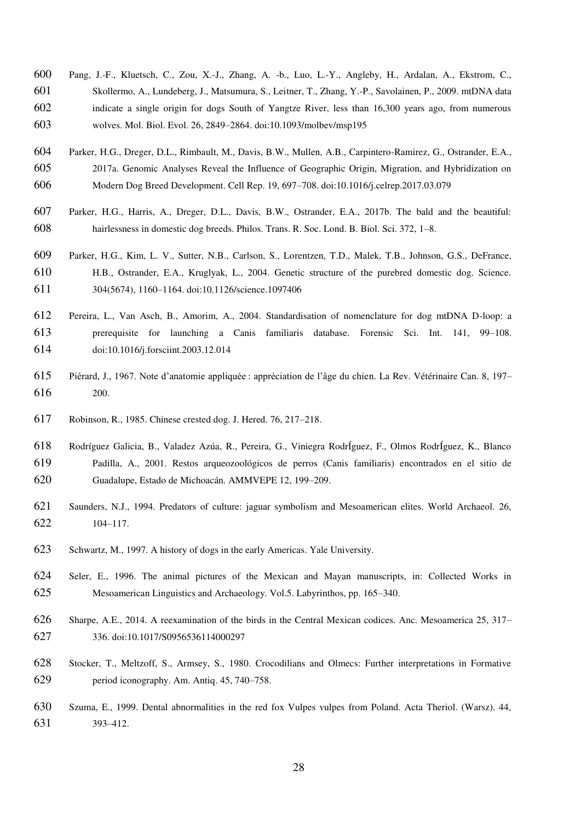- Pang, J.-F., Kluetsch, C., Zou, X.-J., Zhang, A. -b., Luo, L.-Y., Angleby, H., Ardalan, A., Ekstrom, C., Skollermo, A., Lundeberg, J., Matsumura, S., Leitner, T., Zhang, Y.-P., Savolainen, P., 2009. mtDNA data indicate a single origin for dogs South of Yangtze River, less than 16,300 years ago, from numerous wolves. Mol. Biol. Evol. 26, 2849–2864. doi:10.1093/molbev/msp195
- Parker, H.G., Dreger, D.L., Rimbault, M., Davis, B.W., Mullen, A.B., Carpintero-Ramirez, G., Ostrander, E.A., 2017a. Genomic Analyses Reveal the Influence of Geographic Origin, Migration, and Hybridization on Modern Dog Breed Development. Cell Rep. 19, 697–708. doi:10.1016/j.celrep.2017.03.079
- Parker, H.G., Harris, A., Dreger, D.L., Davis, B.W., Ostrander, E.A., 2017b. The bald and the beautiful: hairlessness in domestic dog breeds. Philos. Trans. R. Soc. Lond. B. Biol. Sci. 372, 1–8.
- Parker, H.G., Kim, L. V., Sutter, N.B., Carlson, S., Lorentzen, T.D., Malek, T.B., Johnson, G.S., DeFrance, H.B., Ostrander, E.A., Kruglyak, L., 2004. Genetic structure of the purebred domestic dog. Science. 304(5674), 1160–1164. doi:10.1126/science.1097406
- Pereira, L., Van Asch, B., Amorim, A., 2004. Standardisation of nomenclature for dog mtDNA D-loop: a prerequisite for launching a Canis familiaris database. Forensic Sci. Int. 141, 99–108. doi:10.1016/j.forsciint.2003.12.014
- Piérard, J., 1967. Note d'anatomie appliquée : appréciation de l'âge du chien. La Rev. Vétérinaire Can. 8, 197– 200.
- Robinson, R., 1985. Chinese crested dog. J. Hered. 76, 217–218.
- Rodríguez Galicia, B., Valadez Azúa, R., Pereira, G., Viniegra RodrÍguez, F., Olmos RodrÍguez, K., Blanco Padilla, A., 2001. Restos arqueozoológicos de perros (Canis familiaris) encontrados en el sitio de Guadalupe, Estado de Michoacán. AMMVEPE 12, 199–209.
- Saunders, N.J., 1994. Predators of culture: jaguar symbolism and Mesoamerican elites. World Archaeol. 26, 104–117.
- Schwartz, M., 1997. A history of dogs in the early Americas. Yale University.
- Seler, E., 1996. The animal pictures of the Mexican and Mayan manuscripts, in: Collected Works in Mesoamerican Linguistics and Archaeology. Vol.5. Labyrinthos, pp. 165–340.
- Sharpe, A.E., 2014. A reexamination of the birds in the Central Mexican codices. Anc. Mesoamerica 25, 317– 336. doi:10.1017/S0956536114000297
- Stocker, T., Meltzoff, S., Armsey, S., 1980. Crocodilians and Olmecs: Further interpretations in Formative period iconography. Am. Antiq. 45, 740–758.
- Szuma, E., 1999. Dental abnormalities in the red fox Vulpes vulpes from Poland. Acta Theriol. (Warsz). 44, 393–412.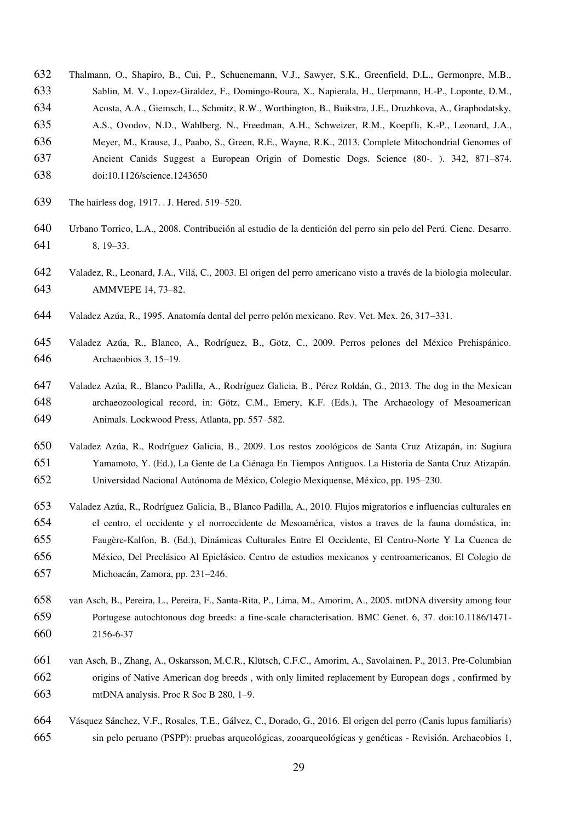- Thalmann, O., Shapiro, B., Cui, P., Schuenemann, V.J., Sawyer, S.K., Greenfield, D.L., Germonpre, M.B., Sablin, M. V., Lopez-Giraldez, F., Domingo-Roura, X., Napierala, H., Uerpmann, H.-P., Loponte, D.M.,
- Acosta, A.A., Giemsch, L., Schmitz, R.W., Worthington, B., Buikstra, J.E., Druzhkova, A., Graphodatsky,
- A.S., Ovodov, N.D., Wahlberg, N., Freedman, A.H., Schweizer, R.M., Koepfli, K.-P., Leonard, J.A.,
- Meyer, M., Krause, J., Paabo, S., Green, R.E., Wayne, R.K., 2013. Complete Mitochondrial Genomes of
- Ancient Canids Suggest a European Origin of Domestic Dogs. Science (80-. ). 342, 871–874.
- doi:10.1126/science.1243650
- The hairless dog, 1917. . J. Hered. 519–520.
- Urbano Torrico, L.A., 2008. Contribución al estudio de la dentición del perro sin pelo del Perú. Cienc. Desarro. 8, 19–33.
- Valadez, R., Leonard, J.A., Vilá, C., 2003. El origen del perro americano visto a través de la biologia molecular. AMMVEPE 14, 73–82.
- Valadez Azúa, R., 1995. Anatomía dental del perro pelón mexicano. Rev. Vet. Mex. 26, 317–331.
- Valadez Azúa, R., Blanco, A., Rodríguez, B., Götz, C., 2009. Perros pelones del México Prehispánico. Archaeobios 3, 15–19.
- Valadez Azúa, R., Blanco Padilla, A., Rodríguez Galicia, B., Pérez Roldán, G., 2013. The dog in the Mexican archaeozoological record, in: Götz, C.M., Emery, K.F. (Eds.), The Archaeology of Mesoamerican Animals. Lockwood Press, Atlanta, pp. 557–582.
- Valadez Azúa, R., Rodríguez Galicia, B., 2009. Los restos zoológicos de Santa Cruz Atizapán, in: Sugiura Yamamoto, Y. (Ed.), La Gente de La Ciénaga En Tiempos Antiguos. La Historia de Santa Cruz Atizapán. Universidad Nacional Autónoma de México, Colegio Mexiquense, México, pp. 195–230.
- Valadez Azúa, R., Rodríguez Galicia, B., Blanco Padilla, A., 2010. Flujos migratorios e influencias culturales en el centro, el occidente y el norroccidente de Mesoamérica, vistos a traves de la fauna doméstica, in: Faugère-Kalfon, B. (Ed.), Dinámicas Culturales Entre El Occidente, El Centro-Norte Y La Cuenca de México, Del Preclásico Al Epiclásico. Centro de estudios mexicanos y centroamericanos, El Colegio de Michoacán, Zamora, pp. 231–246.
- van Asch, B., Pereira, L., Pereira, F., Santa-Rita, P., Lima, M., Amorim, A., 2005. mtDNA diversity among four Portugese autochtonous dog breeds: a fine-scale characterisation. BMC Genet. 6, 37. doi:10.1186/1471- 2156-6-37
- van Asch, B., Zhang, A., Oskarsson, M.C.R., Klütsch, C.F.C., Amorim, A., Savolainen, P., 2013. Pre-Columbian origins of Native American dog breeds , with only limited replacement by European dogs , confirmed by mtDNA analysis. Proc R Soc B 280, 1–9.
- Vásquez Sánchez, V.F., Rosales, T.E., Gálvez, C., Dorado, G., 2016. El origen del perro (Canis lupus familiaris) sin pelo peruano (PSPP): pruebas arqueológicas, zooarqueológicas y genéticas - Revisión. Archaeobios 1,